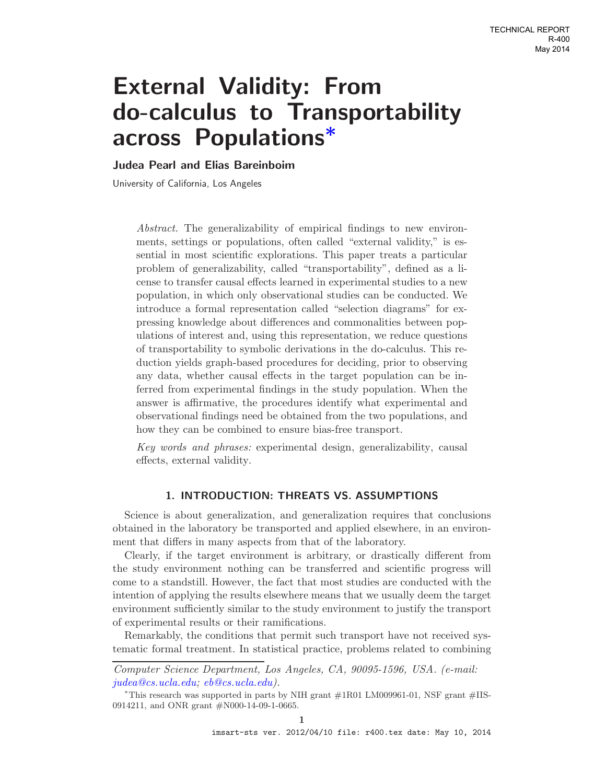# External Validity: From do-calculus to Transportability across Populations[∗](#page-0-0)

## Judea Pearl and Elias Bareinboim

University of California, Los Angeles

Abstract. The generalizability of empirical findings to new environments, settings or populations, often called "external validity," is essential in most scientific explorations. This paper treats a particular problem of generalizability, called "transportability", defined as a license to transfer causal effects learned in experimental studies to a new population, in which only observational studies can be conducted. We introduce a formal representation called "selection diagrams" for expressing knowledge about differences and commonalities between populations of interest and, using this representation, we reduce questions of transportability to symbolic derivations in the do-calculus. This reduction yields graph-based procedures for deciding, prior to observing any data, whether causal effects in the target population can be inferred from experimental findings in the study population. When the answer is affirmative, the procedures identify what experimental and observational findings need be obtained from the two populations, and how they can be combined to ensure bias-free transport.

Key words and phrases: experimental design, generalizability, causal effects, external validity.

# 1. INTRODUCTION: THREATS VS. ASSUMPTIONS

Science is about generalization, and generalization requires that conclusions obtained in the laboratory be transported and applied elsewhere, in an environment that differs in many aspects from that of the laboratory.

Clearly, if the target environment is arbitrary, or drastically different from the study environment nothing can be transferred and scientific progress will come to a standstill. However, the fact that most studies are conducted with the intention of applying the results elsewhere means that we usually deem the target environment sufficiently similar to the study environment to justify the transport of experimental results or their ramifications.

Remarkably, the conditions that permit such transport have not received systematic formal treatment. In statistical practice, problems related to combining

Computer Science Department, Los Angeles, CA, 90095-1596, USA. (e-mail:  $judea@cs.ucla.edu; eb@cs.ucla.edu).$  $judea@cs.ucla.edu; eb@cs.ucla.edu).$  $judea@cs.ucla.edu; eb@cs.ucla.edu).$  $judea@cs.ucla.edu; eb@cs.ucla.edu).$  \*This research was supported in parts by NIH grant #1R01 LM009961-01, NSF grant #IIS-

<span id="page-0-0"></span><sup>0914211,</sup> and ONR grant #N000-14-09-1-0665.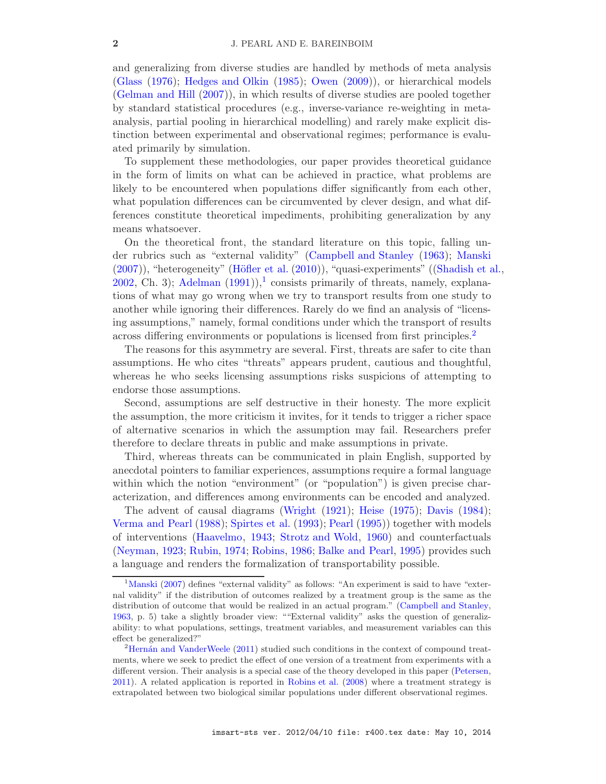and generalizing from diverse studies are handled by methods of meta analysis [\(Glass](#page-22-0) [\(1976](#page-22-0)); [Hedges and Olkin](#page-22-1) [\(1985](#page-22-1)); [Owen](#page-23-0) [\(2009](#page-23-0))), or hierarchical models [\(Gelman and Hill](#page-22-2) [\(2007](#page-22-2))), in which results of diverse studies are pooled together by standard statistical procedures (e.g., inverse-variance re-weighting in metaanalysis, partial pooling in hierarchical modelling) and rarely make explicit distinction between experimental and observational regimes; performance is evaluated primarily by simulation.

To supplement these methodologies, our paper provides theoretical guidance in the form of limits on what can be achieved in practice, what problems are likely to be encountered when populations differ significantly from each other, what population differences can be circumvented by clever design, and what differences constitute theoretical impediments, prohibiting generalization by any means whatsoever.

On the theoretical front, the standard literature on this topic, falling under rubrics such as "external validity" [\(Campbell and Stanley](#page-22-3) [\(1963](#page-22-3)); [Manski](#page-22-4)  $(2007)$ ), "heterogeneity" (Höfler et al.  $(2010)$  $(2010)$ ), "quasi-experiments" ([\(Shadish et al.](#page-23-1), [2002](#page-23-1), Ch. 3); [Adelman](#page-21-0)  $(1991)$  $(1991)$ ,<sup>[1](#page-1-0)</sup> consists primarily of threats, namely, explanations of what may go wrong when we try to transport results from one study to another while ignoring their differences. Rarely do we find an analysis of "licensing assumptions," namely, formal conditions under which the transport of results across differing environments or populations is licensed from first principles.<sup>[2](#page-1-1)</sup>

The reasons for this asymmetry are several. First, threats are safer to cite than assumptions. He who cites "threats" appears prudent, cautious and thoughtful, whereas he who seeks licensing assumptions risks suspicions of attempting to endorse those assumptions.

Second, assumptions are self destructive in their honesty. The more explicit the assumption, the more criticism it invites, for it tends to trigger a richer space of alternative scenarios in which the assumption may fail. Researchers prefer therefore to declare threats in public and make assumptions in private.

Third, whereas threats can be communicated in plain English, supported by anecdotal pointers to familiar experiences, assumptions require a formal language within which the notion "environment" (or "population") is given precise characterization, and differences among environments can be encoded and analyzed.

The advent of causal diagrams [\(Wright](#page-24-0) [\(1921\)](#page-24-0); [Heise](#page-22-6) [\(1975](#page-22-6)); [Davis](#page-22-7) [\(1984](#page-22-7)); [Verma and Pearl](#page-23-2) [\(1988](#page-23-2)); [Spirtes et al.](#page-23-3) [\(1993](#page-23-3)); [Pearl](#page-23-4) [\(1995](#page-23-4))) together with models of interventions [\(Haavelmo](#page-22-8), [1943](#page-22-8); [Strotz and Wold](#page-23-5), [1960](#page-23-5)) and counterfactuals [\(Neyman](#page-22-9), [1923](#page-22-9); [Rubin,](#page-23-6) [1974](#page-23-6); [Robins,](#page-23-7) [1986](#page-23-7); [Balke and Pearl,](#page-21-1) [1995](#page-21-1)) provides such a language and renders the formalization of transportability possible.

<span id="page-1-0"></span><sup>&</sup>lt;sup>1</sup>[Manski](#page-22-4) [\(2007](#page-22-4)) defines "external validity" as follows: "An experiment is said to have "external validity" if the distribution of outcomes realized by a treatment group is the same as the distribution of outcome that would be realized in an actual program." [\(Campbell and Stanley,](#page-22-3) [1963](#page-22-3), p. 5) take a slightly broader view: ""External validity" asks the question of generalizability: to what populations, settings, treatment variables, and measurement variables can this effect be generalized?"

<span id="page-1-1"></span> ${}^{2}$ Hernán and VanderWeele [\(2011](#page-22-10)) studied such conditions in the context of compound treatments, where we seek to predict the effect of one version of a treatment from experiments with a different version. Their analysis is a special case of the theory developed in this paper [\(Petersen,](#page-23-8) [2011](#page-23-8)). A related application is reported in [Robins et al.](#page-23-9) [\(2008](#page-23-9)) where a treatment strategy is extrapolated between two biological similar populations under different observational regimes.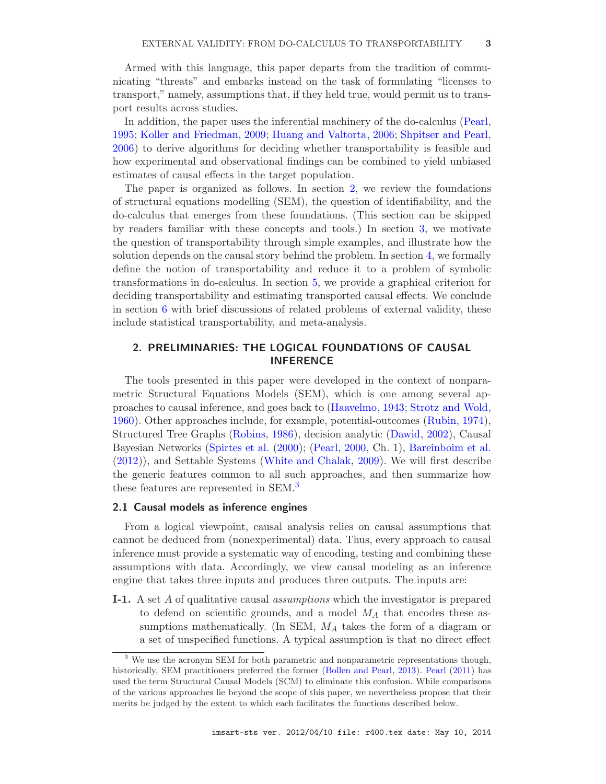Armed with this language, this paper departs from the tradition of communicating "threats" and embarks instead on the task of formulating "licenses to transport," namely, assumptions that, if they held true, would permit us to transport results across studies.

In addition, the paper uses the inferential machinery of the do-calculus [\(Pearl](#page-23-4), [1995](#page-23-4); [Koller and Friedman,](#page-22-11) [2009;](#page-22-11) [Huang and Valtorta](#page-22-12), [2006;](#page-22-12) [Shpitser and Pearl](#page-23-10), [2006](#page-23-10)) to derive algorithms for deciding whether transportability is feasible and how experimental and observational findings can be combined to yield unbiased estimates of causal effects in the target population.

The paper is organized as follows. In section [2,](#page-2-0) we review the foundations of structural equations modelling (SEM), the question of identifiability, and the do-calculus that emerges from these foundations. (This section can be skipped by readers familiar with these concepts and tools.) In section [3,](#page-8-0) we motivate the question of transportability through simple examples, and illustrate how the solution depends on the causal story behind the problem. In section [4,](#page-11-0) we formally define the notion of transportability and reduce it to a problem of symbolic transformations in do-calculus. In section [5,](#page-16-0) we provide a graphical criterion for deciding transportability and estimating transported causal effects. We conclude in section [6](#page-20-0) with brief discussions of related problems of external validity, these include statistical transportability, and meta-analysis.

# 2. PRELIMINARIES: THE LOGICAL FOUNDATIONS OF CAUSAL INFERENCE

<span id="page-2-0"></span>The tools presented in this paper were developed in the context of nonparametric Structural Equations Models (SEM), which is one among several approaches to causal inference, and goes back to [\(Haavelmo](#page-22-8), [1943;](#page-22-8) [Strotz and Wold](#page-23-5), [1960](#page-23-5)). Other approaches include, for example, potential-outcomes [\(Rubin](#page-23-6), [1974](#page-23-6)), Structured Tree Graphs [\(Robins](#page-23-7), [1986\)](#page-23-7), decision analytic [\(Dawid,](#page-22-13) [2002](#page-22-13)), Causal Bayesian Networks [\(Spirtes et al.](#page-23-11) [\(2000\)](#page-23-11); [\(Pearl,](#page-23-12) [2000](#page-23-12), Ch. 1), [Bareinboim et al.](#page-21-2) [\(2012\)](#page-21-2)), and Settable Systems [\(White and Chalak,](#page-24-1) [2009](#page-24-1)). We will first describe the generic features common to all such approaches, and then summarize how these features are represented in SEM.<sup>[3](#page-2-1)</sup>

## <span id="page-2-2"></span>2.1 Causal models as inference engines

From a logical viewpoint, causal analysis relies on causal assumptions that cannot be deduced from (nonexperimental) data. Thus, every approach to causal inference must provide a systematic way of encoding, testing and combining these assumptions with data. Accordingly, we view causal modeling as an inference engine that takes three inputs and produces three outputs. The inputs are:

I-1. A set A of qualitative causal assumptions which the investigator is prepared to defend on scientific grounds, and a model  $M_A$  that encodes these assumptions mathematically. (In SEM,  $M_A$  takes the form of a diagram or a set of unspecified functions. A typical assumption is that no direct effect

<span id="page-2-1"></span><sup>&</sup>lt;sup>3</sup> We use the acronym SEM for both parametric and nonparametric representations though, historically, SEM practitioners preferred the former [\(Bollen and Pearl](#page-22-14), [2013](#page-22-14)). [Pearl](#page-23-13) [\(2011](#page-23-13)) has used the term Structural Causal Models (SCM) to eliminate this confusion. While comparisons of the various approaches lie beyond the scope of this paper, we nevertheless propose that their merits be judged by the extent to which each facilitates the functions described below.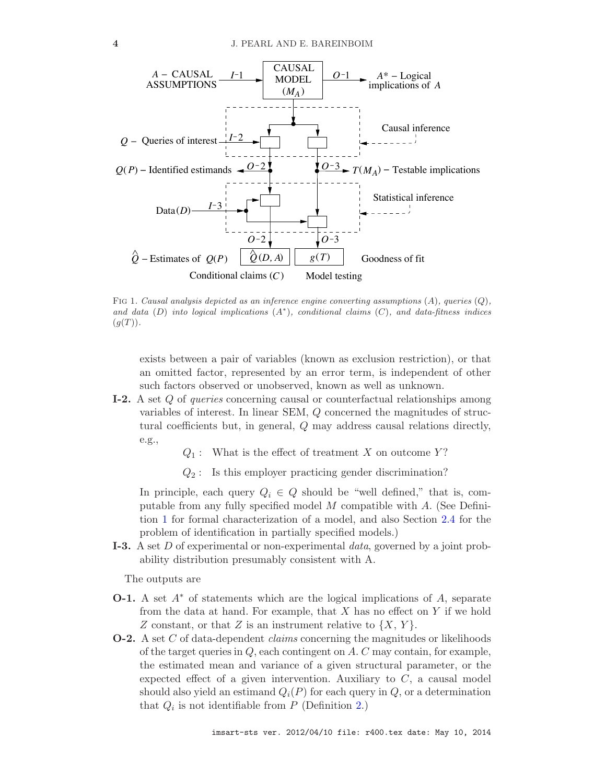

<span id="page-3-0"></span>FIG 1. Causal analysis depicted as an inference engine converting assumptions  $(A)$ , queries  $(Q)$ , and data (D) into logical implications  $(A^*)$ , conditional claims  $(C)$ , and data-fitness indices  $(g(T)).$ 

exists between a pair of variables (known as exclusion restriction), or that an omitted factor, represented by an error term, is independent of other such factors observed or unobserved, known as well as unknown.

- I-2. A set Q of queries concerning causal or counterfactual relationships among variables of interest. In linear SEM, Q concerned the magnitudes of structural coefficients but, in general, Q may address causal relations directly, e.g.,
	- $Q_1$ : What is the effect of treatment X on outcome Y?

 $Q_2$ : Is this employer practicing gender discrimination?

In principle, each query  $Q_i \in Q$  should be "well defined," that is, computable from any fully specified model M compatible with A. (See Definition [1](#page-4-0) for formal characterization of a model, and also Section [2.4](#page-6-0) for the problem of identification in partially specified models.)

**I-3.** A set D of experimental or non-experimental  $data$ , governed by a joint probability distribution presumably consistent with A.

The outputs are

- **O-1.** A set  $A^*$  of statements which are the logical implications of A, separate from the data at hand. For example, that  $X$  has no effect on  $Y$  if we hold Z constant, or that Z is an instrument relative to  $\{X, Y\}$ .
- O-2. A set C of data-dependent claims concerning the magnitudes or likelihoods of the target queries in  $Q$ , each contingent on  $A$ .  $C$  may contain, for example, the estimated mean and variance of a given structural parameter, or the expected effect of a given intervention. Auxiliary to  $C$ , a causal model should also yield an estimand  $Q_i(P)$  for each query in  $Q$ , or a determination that  $Q_i$  is not identifiable from P (Definition [2.](#page-6-1))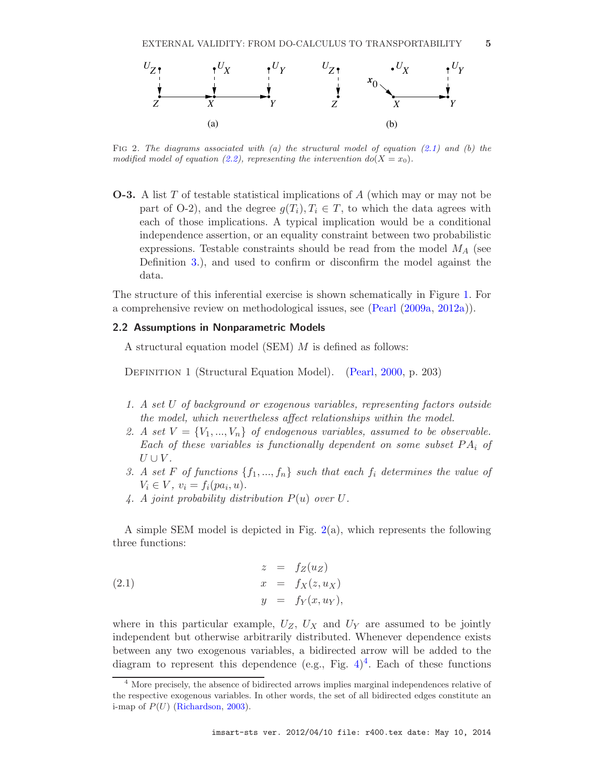

<span id="page-4-2"></span>FIG 2. The diagrams associated with (a) the structural model of equation [\(2.1\)](#page-4-1) and (b) the modified model of equation [\(2.2\)](#page-5-0), representing the intervention  $do(X = x_0)$ .

**O-3.** A list  $T$  of testable statistical implications of  $A$  (which may or may not be part of O-2), and the degree  $q(T_i), T_i \in T$ , to which the data agrees with each of those implications. A typical implication would be a conditional independence assertion, or an equality constraint between two probabilistic expressions. Testable constraints should be read from the model  $M_A$  (see Definition [3.](#page-7-0)), and used to confirm or disconfirm the model against the data.

The structure of this inferential exercise is shown schematically in Figure [1.](#page-3-0) For a comprehensive review on methodological issues, see [\(Pearl](#page-23-14) [\(2009a,](#page-23-14) [2012a\)](#page-23-15)).

## 2.2 Assumptions in Nonparametric Models

A structural equation model (SEM) M is defined as follows:

DEFINITION 1 (Structural Equation Model). [\(Pearl](#page-23-12), [2000](#page-23-12), p. 203)

- 1. A set U of background or exogenous variables, representing factors outside the model, which nevertheless affect relationships within the model.
- 2. A set  $V = \{V_1, ..., V_n\}$  of endogenous variables, assumed to be observable. Each of these variables is functionally dependent on some subset  $PA_i$  of  $U \cup V$ .
- 3. A set F of functions  $\{f_1, ..., f_n\}$  such that each  $f_i$  determines the value of  $V_i \in V$ ,  $v_i = f_i(pa_i, u)$ .
- <span id="page-4-0"></span>4. A joint probability distribution  $P(u)$  over U.

A simple SEM model is depicted in Fig. [2\(](#page-4-2)a), which represents the following three functions:

<span id="page-4-1"></span>(2.1) 
$$
z = f_Z(u_Z)
$$

$$
x = f_X(z, u_X)
$$

$$
y = f_Y(x, u_Y),
$$

where in this particular example,  $U_Z$ ,  $U_X$  and  $U_Y$  are assumed to be jointly independent but otherwise arbitrarily distributed. Whenever dependence exists between any two exogenous variables, a bidirected arrow will be added to the diagram to represent this dependence (e.g., Fig.  $4)^4$  $4)^4$  $4)^4$ . Each of these functions

<span id="page-4-3"></span><sup>4</sup> More precisely, the absence of bidirected arrows implies marginal independences relative of the respective exogenous variables. In other words, the set of all bidirected edges constitute an i-map of  $P(U)$  [\(Richardson,](#page-23-16) [2003\)](#page-23-16).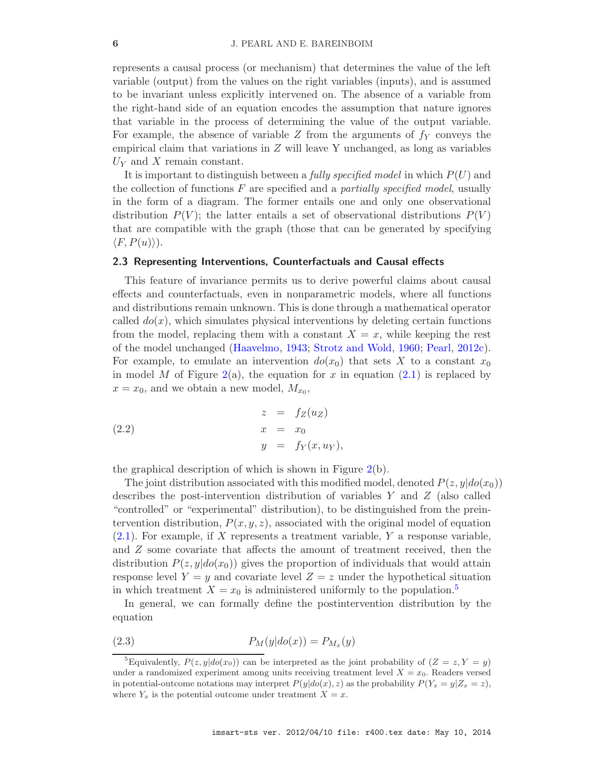represents a causal process (or mechanism) that determines the value of the left variable (output) from the values on the right variables (inputs), and is assumed to be invariant unless explicitly intervened on. The absence of a variable from the right-hand side of an equation encodes the assumption that nature ignores that variable in the process of determining the value of the output variable. For example, the absence of variable  $Z$  from the arguments of  $f<sub>Y</sub>$  conveys the empirical claim that variations in  $Z$  will leave Y unchanged, as long as variables  $U_Y$  and X remain constant.

It is important to distinguish between a *fully specified model* in which  $P(U)$  and the collection of functions  $F$  are specified and a *partially specified model*, usually in the form of a diagram. The former entails one and only one observational distribution  $P(V)$ ; the latter entails a set of observational distributions  $P(V)$ that are compatible with the graph (those that can be generated by specifying  $\langle F, P(u) \rangle$ ).

## 2.3 Representing Interventions, Counterfactuals and Causal effects

This feature of invariance permits us to derive powerful claims about causal effects and counterfactuals, even in nonparametric models, where all functions and distributions remain unknown. This is done through a mathematical operator called  $do(x)$ , which simulates physical interventions by deleting certain functions from the model, replacing them with a constant  $X = x$ , while keeping the rest of the model unchanged [\(Haavelmo](#page-22-8), [1943;](#page-22-8) [Strotz and Wold](#page-23-5), [1960](#page-23-5); [Pearl,](#page-23-17) [2012c](#page-23-17)). For example, to emulate an intervention  $do(x_0)$  that sets X to a constant  $x_0$ in model M of Figure [2\(](#page-4-2)a), the equation for x in equation  $(2.1)$  is replaced by  $x = x_0$ , and we obtain a new model,  $M_{x_0}$ ,

<span id="page-5-0"></span>(2.2) 
$$
z = f_Z(u_Z)
$$

$$
x = x_0
$$

$$
y = f_Y(x, u_Y),
$$

the graphical description of which is shown in Figure  $2(b)$  $2(b)$ .

The joint distribution associated with this modified model, denoted  $P(z, y|do(x_0))$ describes the post-intervention distribution of variables Y and Z (also called "controlled" or "experimental" distribution), to be distinguished from the preintervention distribution,  $P(x, y, z)$ , associated with the original model of equation  $(2.1)$ . For example, if X represents a treatment variable, Y a response variable, and Z some covariate that affects the amount of treatment received, then the distribution  $P(z, y|do(x_0))$  gives the proportion of individuals that would attain response level  $Y = y$  and covariate level  $Z = z$  under the hypothetical situation in which treatment  $X = x_0$  is administered uniformly to the population.<sup>[5](#page-5-1)</sup>

In general, we can formally define the postintervention distribution by the equation

$$
(2.3) \t\t P_M(y|do(x)) = P_{M_x}(y)
$$

<span id="page-5-1"></span><sup>&</sup>lt;sup>5</sup>Equivalently,  $P(z, y|do(x_0))$  can be interpreted as the joint probability of  $(Z = z, Y = y)$ under a randomized experiment among units receiving treatment level  $X = x_0$ . Readers versed in potential-outcome notations may interpret  $P(y|do(x), z)$  as the probability  $P(Y_x = y|Z_x = z)$ , where  $Y_x$  is the potential outcome under treatment  $X = x$ .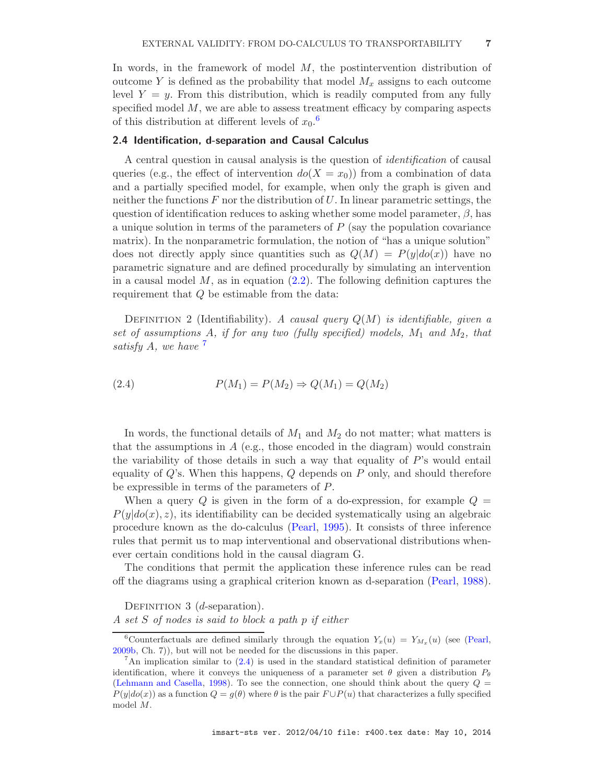In words, in the framework of model  $M$ , the postintervention distribution of outcome Y is defined as the probability that model  $M_x$  assigns to each outcome level  $Y = y$ . From this distribution, which is readily computed from any fully specified model  $M$ , we are able to assess treatment efficacy by comparing aspects of this distribution at different levels of  $x_0$ .<sup>[6](#page-6-2)</sup>

## <span id="page-6-0"></span>2.4 Identification, d-separation and Causal Calculus

A central question in causal analysis is the question of identification of causal queries (e.g., the effect of intervention  $do(X = x_0)$ ) from a combination of data and a partially specified model, for example, when only the graph is given and neither the functions  $F$  nor the distribution of  $U$ . In linear parametric settings, the question of identification reduces to asking whether some model parameter,  $\beta$ , has a unique solution in terms of the parameters of  $P$  (say the population covariance matrix). In the nonparametric formulation, the notion of "has a unique solution" does not directly apply since quantities such as  $Q(M) = P(y|do(x))$  have no parametric signature and are defined procedurally by simulating an intervention in a causal model  $M$ , as in equation [\(2.2\)](#page-5-0). The following definition captures the requirement that Q be estimable from the data:

DEFINITION 2 (Identifiability). A causal query  $Q(M)$  is identifiable, given a set of assumptions A, if for any two (fully specified) models,  $M_1$  and  $M_2$ , that satisfy  $A$ , we have  $7$ 

<span id="page-6-1"></span>(2.4) 
$$
P(M_1) = P(M_2) \Rightarrow Q(M_1) = Q(M_2)
$$

In words, the functional details of  $M_1$  and  $M_2$  do not matter; what matters is that the assumptions in  $A$  (e.g., those encoded in the diagram) would constrain the variability of those details in such a way that equality of  $P$ 's would entail equality of  $Q$ 's. When this happens,  $Q$  depends on  $P$  only, and should therefore be expressible in terms of the parameters of P.

When a query Q is given in the form of a do-expression, for example  $Q =$  $P(y|do(x), z)$ , its identifiability can be decided systematically using an algebraic procedure known as the do-calculus [\(Pearl](#page-23-4), [1995](#page-23-4)). It consists of three inference rules that permit us to map interventional and observational distributions whenever certain conditions hold in the causal diagram G.

The conditions that permit the application these inference rules can be read off the diagrams using a graphical criterion known as d-separation [\(Pearl,](#page-23-18) [1988](#page-23-18)).

DEFINITION 3  $(d\text{-separation})$ . A set S of nodes is said to block a path p if either

<span id="page-6-2"></span><sup>&</sup>lt;sup>6</sup>Counterfactuals are defined similarly through the equation  $Y_x(u) = Y_{M_x}(u)$  (see [\(Pearl,](#page-23-19) [2009b](#page-23-19), Ch. 7)), but will not be needed for the discussions in this paper.

<span id="page-6-3"></span><sup>&</sup>lt;sup>7</sup>An implication similar to  $(2.4)$  is used in the standard statistical definition of parameter identification, where it conveys the uniqueness of a parameter set  $\theta$  given a distribution  $P_{\theta}$ [\(Lehmann and Casella](#page-22-15), [1998](#page-22-15)). To see the connection, one should think about the query  $Q =$  $P(y|do(x))$  as a function  $Q = g(\theta)$  where  $\theta$  is the pair  $F \cup P(u)$  that characterizes a fully specified model M.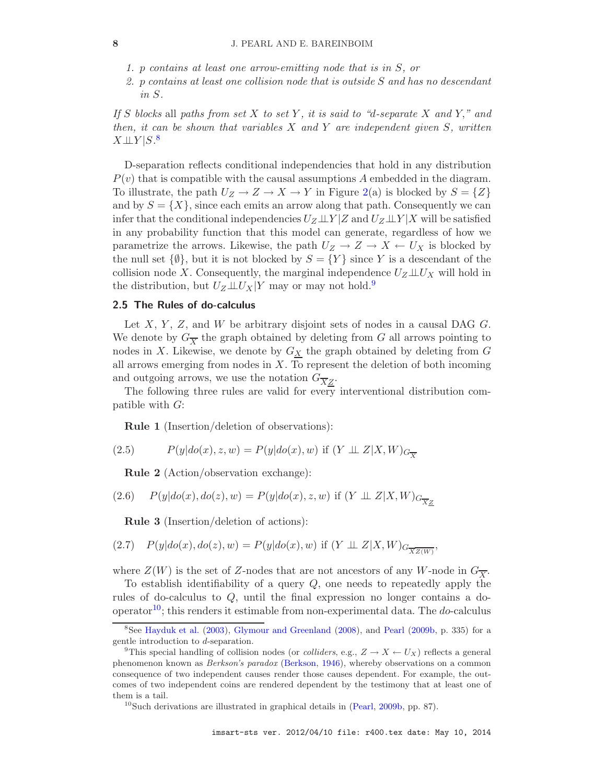- <span id="page-7-0"></span>1. p contains at least one arrow-emitting node that is in S, or
- 2. p contains at least one collision node that is outside S and has no descendant in S.

If S blocks all paths from set X to set Y, it is said to "d-separate X and Y," and then, it can be shown that variables  $X$  and  $Y$  are independent given  $S$ , written  $X \perp \perp Y \mid S.^8$  $X \perp \perp Y \mid S.^8$ 

D-separation reflects conditional independencies that hold in any distribution  $P(v)$  that is compatible with the causal assumptions A embedded in the diagram. To illustrate, the path  $U_Z \to Z \to X \to Y$  in Figure [2\(](#page-4-2)a) is blocked by  $S = \{Z\}$ and by  $S = \{X\}$ , since each emits an arrow along that path. Consequently we can infer that the conditional independencies  $U_Z \perp Y | Z$  and  $U_Z \perp Y | X$  will be satisfied in any probability function that this model can generate, regardless of how we parametrize the arrows. Likewise, the path  $U_Z \to Z \to X \leftarrow U_X$  is blocked by the null set  $\{\emptyset\}$ , but it is not blocked by  $S = \{Y\}$  since Y is a descendant of the collision node X. Consequently, the marginal independence  $U_Z \perp\!\!\!\perp U_X$  will hold in the distribution, but  $U_Z \perp\!\!\!\perp U_X|Y$  may or may not hold.<sup>[9](#page-7-2)</sup>

#### 2.5 The Rules of do-calculus

Let  $X, Y, Z$ , and W be arbitrary disjoint sets of nodes in a causal DAG  $G$ . We denote by  $G_{\overline{X}}$  the graph obtained by deleting from G all arrows pointing to nodes in X. Likewise, we denote by  $G_{\underline{X}}$  the graph obtained by deleting from G all arrows emerging from nodes in  $X$ . To represent the deletion of both incoming and outgoing arrows, we use the notation  $G_{\overline{X}Z}$ .

The following three rules are valid for every interventional distribution compatible with G:

Rule 1 (Insertion/deletion of observations):

(2.5) 
$$
P(y|do(x), z, w) = P(y|do(x), w) \text{ if } (Y \perp Z | X, W)_{G_{\overline{X}}}
$$

Rule 2 (Action/observation exchange):

(2.6) 
$$
P(y|do(x), do(z), w) = P(y|do(x), z, w) \text{ if } (Y \perp \perp Z | X, W)_{G_{\overline{X}Z}}
$$

Rule 3 (Insertion/deletion of actions):

(2.7) 
$$
P(y|do(x), do(z), w) = P(y|do(x), w)
$$
 if  $(Y \perp Z | X, W)_{G_{\overline{XZ(W)}}}$ 

where  $Z(W)$  is the set of Z-nodes that are not ancestors of any W-node in  $G_{\overline{X}}$ .

To establish identifiability of a query  $Q$ , one needs to repeatedly apply the rules of do-calculus to Q, until the final expression no longer contains a do-operator<sup>[10](#page-7-3)</sup>; this renders it estimable from non-experimental data. The *do*-calculus

<sup>8</sup>See [Hayduk et al.](#page-22-16) [\(2003\)](#page-22-16), [Glymour and Greenland](#page-22-17) [\(2008](#page-22-17)), and [Pearl](#page-23-19) [\(2009b](#page-23-19), p. 335) for a gentle introduction to d-separation.

<span id="page-7-2"></span><span id="page-7-1"></span><sup>&</sup>lt;sup>9</sup>This special handling of collision nodes (or *colliders*, e.g.,  $Z \rightarrow X \leftarrow U_X$ ) reflects a general phenomenon known as Berkson's paradox [\(Berkson,](#page-22-18) [1946\)](#page-22-18), whereby observations on a common consequence of two independent causes render those causes dependent. For example, the outcomes of two independent coins are rendered dependent by the testimony that at least one of them is a tail.

<span id="page-7-3"></span> $10$ Such derivations are illustrated in graphical details in [\(Pearl](#page-23-19), [2009b](#page-23-19), pp. 87).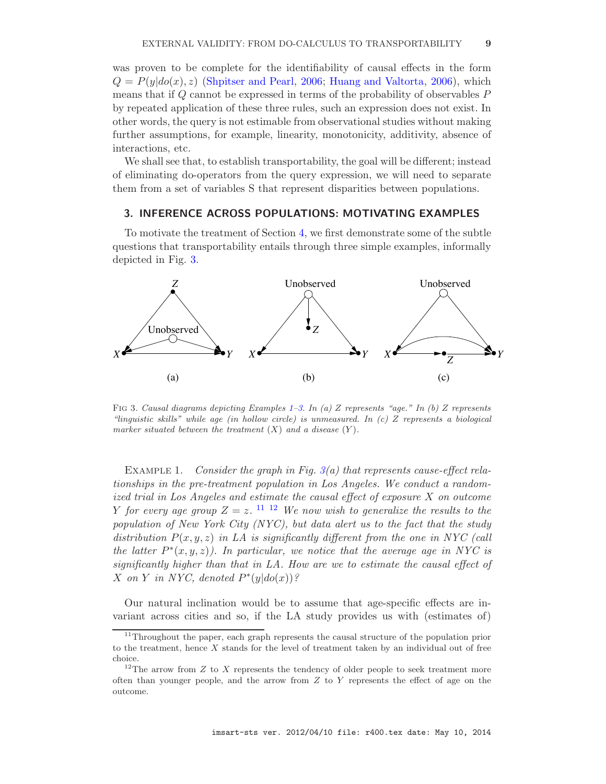was proven to be complete for the identifiability of causal effects in the form  $Q = P(y|do(x), z)$  [\(Shpitser and Pearl](#page-23-10), [2006](#page-22-12); [Huang and Valtorta](#page-22-12), 2006), which means that if  $Q$  cannot be expressed in terms of the probability of observables  $P$ by repeated application of these three rules, such an expression does not exist. In other words, the query is not estimable from observational studies without making further assumptions, for example, linearity, monotonicity, additivity, absence of interactions, etc.

We shall see that, to establish transportability, the goal will be different; instead of eliminating do-operators from the query expression, we will need to separate them from a set of variables S that represent disparities between populations.

## 3. INFERENCE ACROSS POPULATIONS: MOTIVATING EXAMPLES

<span id="page-8-0"></span>To motivate the treatment of Section [4,](#page-11-0) we first demonstrate some of the subtle questions that transportability entails through three simple examples, informally depicted in Fig. [3.](#page-8-1)



<span id="page-8-1"></span>FIG 3. Causal diagrams depicting Examples [1](#page-8-2)[–3.](#page-10-0) In (a) Z represents "age." In (b) Z represents "linguistic skills" while age (in hollow circle) is unmeasured. In (c) Z represents a biological marker situated between the treatment  $(X)$  and a disease  $(Y)$ .

<span id="page-8-2"></span>EXAMPLE 1. Consider the graph in Fig.  $3(a)$  $3(a)$  that represents cause-effect relationships in the pre-treatment population in Los Angeles. We conduct a randomized trial in Los Angeles and estimate the causal effect of exposure X on outcome Y for every age group  $Z = z$ . <sup>[11](#page-8-3) [12](#page-8-4)</sup> We now wish to generalize the results to the population of New York City (NYC), but data alert us to the fact that the study distribution  $P(x, y, z)$  in LA is significantly different from the one in NYC (call the latter  $P^*(x, y, z)$ . In particular, we notice that the average age in NYC is significantly higher than that in LA. How are we to estimate the causal effect of X on Y in NYC, denoted  $P^*(y|do(x))$ ?

Our natural inclination would be to assume that age-specific effects are invariant across cities and so, if the LA study provides us with (estimates of)

<span id="page-8-3"></span><sup>&</sup>lt;sup>11</sup>Throughout the paper, each graph represents the causal structure of the population prior to the treatment, hence X stands for the level of treatment taken by an individual out of free choice.

<span id="page-8-4"></span><sup>&</sup>lt;sup>12</sup>The arrow from Z to X represents the tendency of older people to seek treatment more often than younger people, and the arrow from Z to Y represents the effect of age on the outcome.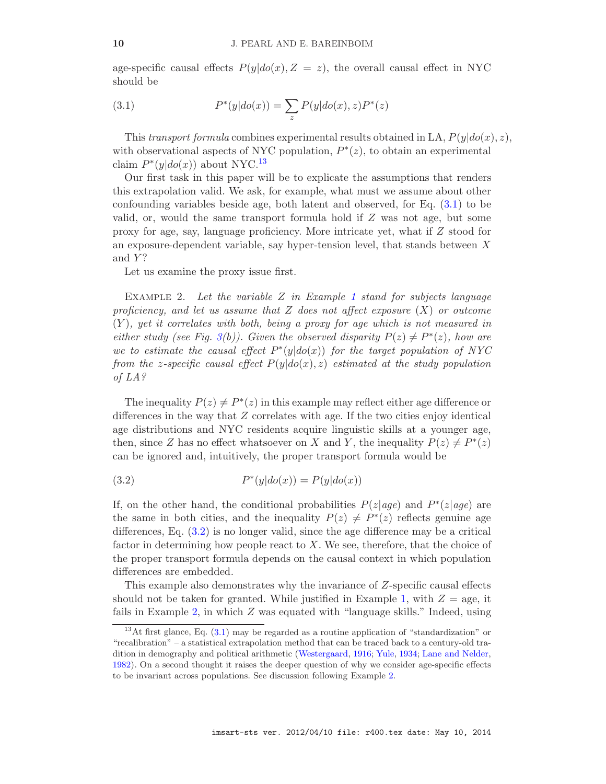age-specific causal effects  $P(y|do(x), Z = z)$ , the overall causal effect in NYC should be

<span id="page-9-1"></span>(3.1) 
$$
P^*(y|do(x)) = \sum_{z} P(y|do(x), z)P^*(z)
$$

This transport formula combines experimental results obtained in LA,  $P(y|do(x), z)$ , with observational aspects of NYC population,  $P^*(z)$ , to obtain an experimental claim  $P^*(y|do(x))$  about NYC.<sup>[13](#page-9-0)</sup>

Our first task in this paper will be to explicate the assumptions that renders this extrapolation valid. We ask, for example, what must we assume about other confounding variables beside age, both latent and observed, for Eq. [\(3.1\)](#page-9-1) to be valid, or, would the same transport formula hold if  $Z$  was not age, but some proxy for age, say, language proficiency. More intricate yet, what if Z stood for an exposure-dependent variable, say hyper-tension level, that stands between X and  $Y$ ?

Let us examine the proxy issue first.

<span id="page-9-3"></span>EXAMPLE 2. Let the variable  $Z$  in Example [1](#page-8-2) stand for subjects language proficiency, and let us assume that  $Z$  does not affect exposure  $(X)$  or outcome  $(Y)$ , yet it correlates with both, being a proxy for age which is not measured in either study (see Fig. [3\(](#page-8-1)b)). Given the observed disparity  $P(z) \neq P^*(z)$ , how are we to estimate the causal effect  $P^*(y|do(x))$  for the target population of NYC from the z-specific causal effect  $P(y|do(x), z)$  estimated at the study population of LA?

The inequality  $P(z) \neq P^*(z)$  in this example may reflect either age difference or differences in the way that  $Z$  correlates with age. If the two cities enjoy identical age distributions and NYC residents acquire linguistic skills at a younger age, then, since Z has no effect whatsoever on X and Y, the inequality  $P(z) \neq P^*(z)$ can be ignored and, intuitively, the proper transport formula would be

<span id="page-9-2"></span>
$$
(3.2) \t\t P^*(y|do(x)) = P(y|do(x))
$$

If, on the other hand, the conditional probabilities  $P(z|aqe)$  and  $P^*(z|aqe)$  are the same in both cities, and the inequality  $P(z) \neq P^*(z)$  reflects genuine age differences, Eq. [\(3.2\)](#page-9-2) is no longer valid, since the age difference may be a critical factor in determining how people react to  $X$ . We see, therefore, that the choice of the proper transport formula depends on the causal context in which population differences are embedded.

This example also demonstrates why the invariance of Z-specific causal effects should not be taken for granted. While justified in Example [1,](#page-8-2) with  $Z = \text{age}$ , it fails in Example [2,](#page-9-3) in which Z was equated with "language skills." Indeed, using

<span id="page-9-0"></span> $13$ At first glance, Eq.  $(3.1)$  may be regarded as a routine application of "standardization" or "recalibration" – a statistical extrapolation method that can be traced back to a century-old tradition in demography and political arithmetic [\(Westergaard,](#page-23-20) [1916](#page-23-20); [Yule](#page-24-2), [1934;](#page-24-2) [Lane and Nelder,](#page-22-19) [1982](#page-22-19)). On a second thought it raises the deeper question of why we consider age-specific effects to be invariant across populations. See discussion following Example [2.](#page-9-3)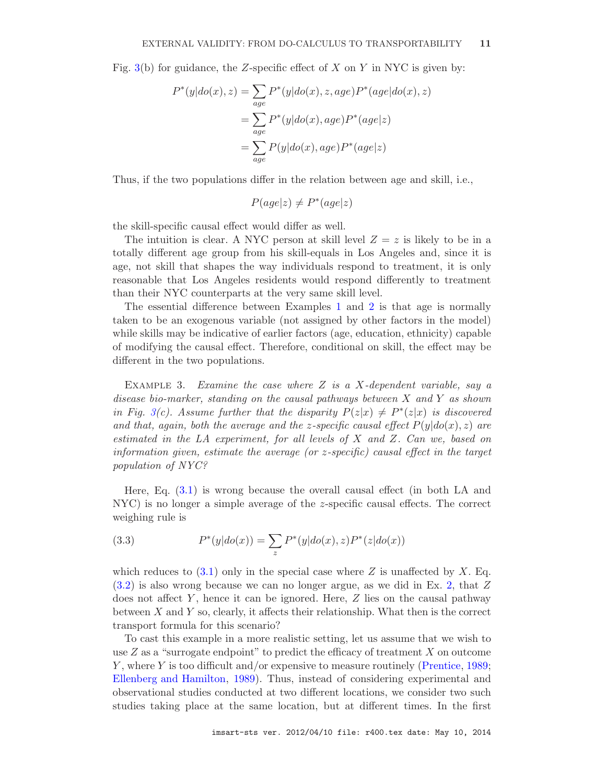Fig. [3\(](#page-8-1)b) for guidance, the Z-specific effect of X on Y in NYC is given by:

$$
P^*(y|do(x), z) = \sum_{age} P^*(y|do(x), z, age) P^*(age|do(x), z)
$$

$$
= \sum_{age} P^*(y|do(x), age) P^*(age|z)
$$

$$
= \sum_{age} P(y|do(x), age) P^*(age|z)
$$

Thus, if the two populations differ in the relation between age and skill, i.e.,

 $P(aqe|z) \neq P^*(aqe|z)$ 

the skill-specific causal effect would differ as well.

The intuition is clear. A NYC person at skill level  $Z = z$  is likely to be in a totally different age group from his skill-equals in Los Angeles and, since it is age, not skill that shapes the way individuals respond to treatment, it is only reasonable that Los Angeles residents would respond differently to treatment than their NYC counterparts at the very same skill level.

The essential difference between Examples [1](#page-8-2) and [2](#page-9-3) is that age is normally taken to be an exogenous variable (not assigned by other factors in the model) while skills may be indicative of earlier factors (age, education, ethnicity) capable of modifying the causal effect. Therefore, conditional on skill, the effect may be different in the two populations.

<span id="page-10-0"></span>EXAMPLE 3. Examine the case where  $Z$  is a  $X$ -dependent variable, say a disease bio-marker, standing on the causal pathways between X and Y as shown in Fig. [3\(](#page-8-1)c). Assume further that the disparity  $P(z|x) \neq P^*(z|x)$  is discovered and that, again, both the average and the z-specific causal effect  $P(y|do(x), z)$  are estimated in the LA experiment, for all levels of X and Z. Can we, based on information given, estimate the average (or z-specific) causal effect in the target population of NYC?

Here, Eq. [\(3.1\)](#page-9-1) is wrong because the overall causal effect (in both LA and NYC) is no longer a simple average of the z-specific causal effects. The correct weighing rule is

(3.3) 
$$
P^*(y|do(x)) = \sum_{z} P^*(y|do(x), z)P^*(z|do(x))
$$

which reduces to  $(3.1)$  only in the special case where Z is unaffected by X. Eq.  $(3.2)$  is also wrong because we can no longer argue, as we did in Ex. [2,](#page-9-3) that Z does not affect  $Y$ , hence it can be ignored. Here,  $Z$  lies on the causal pathway between  $X$  and  $Y$  so, clearly, it affects their relationship. What then is the correct transport formula for this scenario?

To cast this example in a more realistic setting, let us assume that we wish to use  $Z$  as a "surrogate endpoint" to predict the efficacy of treatment  $X$  on outcome Y, where Y is too difficult and/or expensive to measure routinely [\(Prentice](#page-23-21), [1989](#page-23-21); [Ellenberg and Hamilton](#page-22-20), [1989\)](#page-22-20). Thus, instead of considering experimental and observational studies conducted at two different locations, we consider two such studies taking place at the same location, but at different times. In the first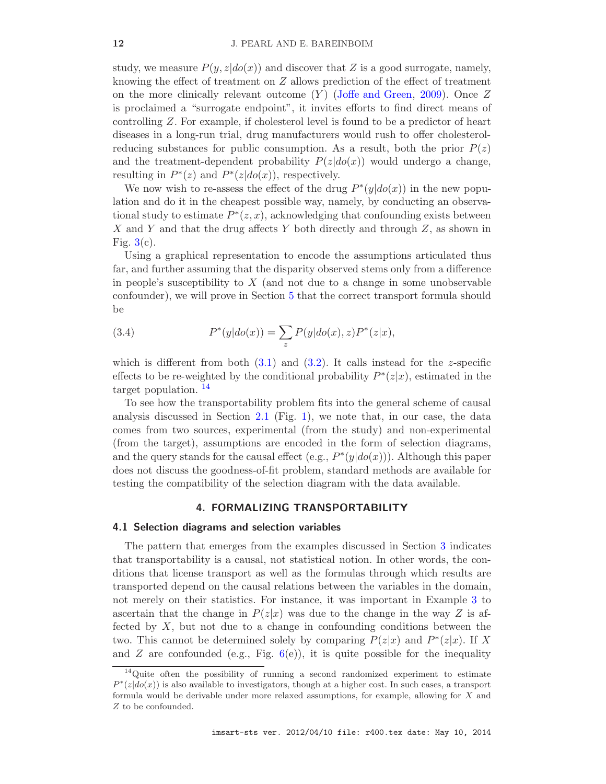study, we measure  $P(y, z|do(x))$  and discover that Z is a good surrogate, namely, knowing the effect of treatment on Z allows prediction of the effect of treatment on the more clinically relevant outcome  $(Y)$  (Joff[e and Green,](#page-22-21) [2009](#page-22-21)). Once Z is proclaimed a "surrogate endpoint", it invites efforts to find direct means of controlling Z. For example, if cholesterol level is found to be a predictor of heart diseases in a long-run trial, drug manufacturers would rush to offer cholesterolreducing substances for public consumption. As a result, both the prior  $P(z)$ and the treatment-dependent probability  $P(z|do(x))$  would undergo a change, resulting in  $P^*(z)$  and  $P^*(z|do(x))$ , respectively.

We now wish to re-assess the effect of the drug  $P^*(y|do(x))$  in the new population and do it in the cheapest possible way, namely, by conducting an observational study to estimate  $P^*(z, x)$ , acknowledging that confounding exists between X and Y and that the drug affects Y both directly and through  $Z$ , as shown in Fig.  $3(c)$  $3(c)$ .

Using a graphical representation to encode the assumptions articulated thus far, and further assuming that the disparity observed stems only from a difference in people's susceptibility to  $X$  (and not due to a change in some unobservable confounder), we will prove in Section [5](#page-16-0) that the correct transport formula should be

<span id="page-11-2"></span>(3.4) 
$$
P^*(y|do(x)) = \sum_{z} P(y|do(x), z)P^*(z|x),
$$

which is different from both  $(3.1)$  and  $(3.2)$ . It calls instead for the z-specific effects to be re-weighted by the conditional probability  $P^*(z|x)$ , estimated in the target population.  $^{14}$  $^{14}$  $^{14}$ 

To see how the transportability problem fits into the general scheme of causal analysis discussed in Section [2.1](#page-2-2) (Fig. [1\)](#page-3-0), we note that, in our case, the data comes from two sources, experimental (from the study) and non-experimental (from the target), assumptions are encoded in the form of selection diagrams, and the query stands for the causal effect (e.g.,  $P^*(y|do(x))$ ). Although this paper does not discuss the goodness-of-fit problem, standard methods are available for testing the compatibility of the selection diagram with the data available.

## 4. FORMALIZING TRANSPORTABILITY

#### <span id="page-11-0"></span>4.1 Selection diagrams and selection variables

The pattern that emerges from the examples discussed in Section [3](#page-8-0) indicates that transportability is a causal, not statistical notion. In other words, the conditions that license transport as well as the formulas through which results are transported depend on the causal relations between the variables in the domain, not merely on their statistics. For instance, it was important in Example [3](#page-10-0) to ascertain that the change in  $P(z|x)$  was due to the change in the way Z is affected by  $X$ , but not due to a change in confounding conditions between the two. This cannot be determined solely by comparing  $P(z|x)$  and  $P^*(z|x)$ . If X and Z are confounded (e.g., Fig.  $6(e)$  $6(e)$ ), it is quite possible for the inequality

<span id="page-11-1"></span><sup>&</sup>lt;sup>14</sup>Quite often the possibility of running a second randomized experiment to estimate  $P^*(z|do(x))$  is also available to investigators, though at a higher cost. In such cases, a transport formula would be derivable under more relaxed assumptions, for example, allowing for X and Z to be confounded.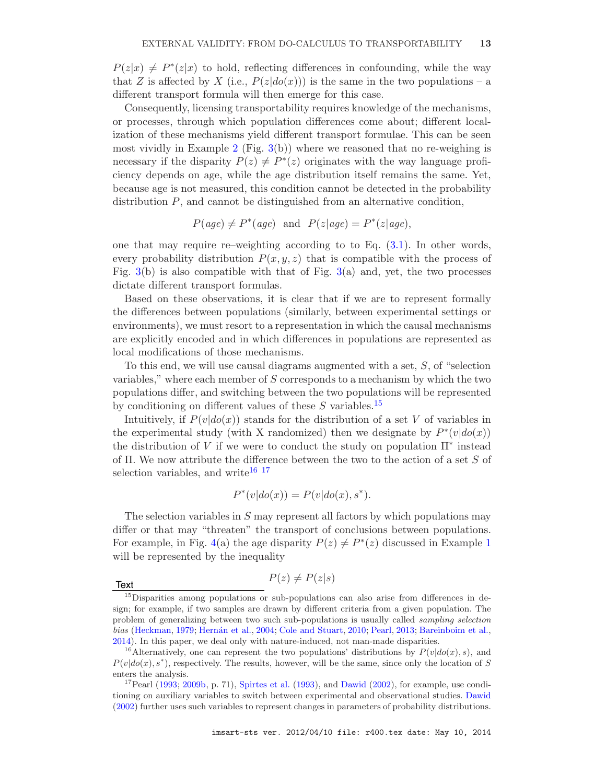$P(z|x) \neq P^*(z|x)$  to hold, reflecting differences in confounding, while the way that Z is affected by X (i.e.,  $P(z|do(x))$ ) is the same in the two populations – a different transport formula will then emerge for this case.

Consequently, licensing transportability requires knowledge of the mechanisms, or processes, through which population differences come about; different localization of these mechanisms yield different transport formulae. This can be seen most vividly in Example [2](#page-9-3) (Fig.  $3(b)$  $3(b)$ ) where we reasoned that no re-weighing is necessary if the disparity  $P(z) \neq P^*(z)$  originates with the way language proficiency depends on age, while the age distribution itself remains the same. Yet, because age is not measured, this condition cannot be detected in the probability distribution P, and cannot be distinguished from an alternative condition,

$$
P(age) \neq P^*(age)
$$
 and  $P(z|age) = P^*(z|age)$ ,

one that may require re–weighting according to to Eq. [\(3.1\)](#page-9-1). In other words, every probability distribution  $P(x, y, z)$  that is compatible with the process of Fig.  $3(b)$  $3(b)$  is also compatible with that of Fig.  $3(a)$  and, yet, the two processes dictate different transport formulas.

Based on these observations, it is clear that if we are to represent formally the differences between populations (similarly, between experimental settings or environments), we must resort to a representation in which the causal mechanisms are explicitly encoded and in which differences in populations are represented as local modifications of those mechanisms.

To this end, we will use causal diagrams augmented with a set, S, of "selection variables," where each member of  $S$  corresponds to a mechanism by which the two populations differ, and switching between the two populations will be represented by conditioning on different values of these  $S$  variables.<sup>[15](#page-12-0)</sup>

Intuitively, if  $P(v|do(x))$  stands for the distribution of a set V of variables in the experimental study (with X randomized) then we designate by  $P^*(v|do(x))$ the distribution of V if we were to conduct the study on population  $\Pi^*$  instead of  $\Pi$ . We now attribute the difference between the two to the action of a set S of selection variables, and write<sup>[16](#page-12-1) [17](#page-12-2)</sup>

$$
P^*(v|do(x)) = P(v|do(x), s^*).
$$

The selection variables in  $S$  may represent all factors by which populations may differ or that may "threaten" the transport of conclusions between populations. For example, in Fig. [4\(](#page-13-0)a) the age disparity  $P(z) \neq P^*(z)$  discussed in Example [1](#page-8-2) will be represented by the inequality

$$
P(z) \neq P(z|s)
$$

Text

<span id="page-12-0"></span><sup>&</sup>lt;sup>15</sup>Disparities among populations or sub-populations can also arise from differences in design; for example, if two samples are drawn by different criteria from a given population. The problem of generalizing between two such sub-populations is usually called sampling selection bias [\(Heckman](#page-22-22), [1979](#page-22-22); Hernán et al., [2004](#page-22-23); [Cole and Stuart,](#page-22-24) [2010](#page-22-24); [Pearl,](#page-23-22) [2013](#page-23-22); [Bareinboim et al.,](#page-22-25) [2014](#page-22-25)). In this paper, we deal only with nature-induced, not man-made disparities.

<span id="page-12-1"></span><sup>&</sup>lt;sup>16</sup>Alternatively, one can represent the two populations' distributions by  $P(v|do(x), s)$ , and  $P(v|do(x), s^*)$ , respectively. The results, however, will be the same, since only the location of S enters the analysis.

<span id="page-12-2"></span><sup>&</sup>lt;sup>17</sup>Pearl [\(1993](#page-23-3); [2009b](#page-23-19), p. 71), [Spirtes et al.](#page-23-3) (1993), and [Dawid](#page-22-13) [\(2002](#page-22-13)), for example, use conditioning on auxiliary variables to switch between experimental and observational studies. [Dawid](#page-22-13) [\(2002\)](#page-22-13) further uses such variables to represent changes in parameters of probability distributions.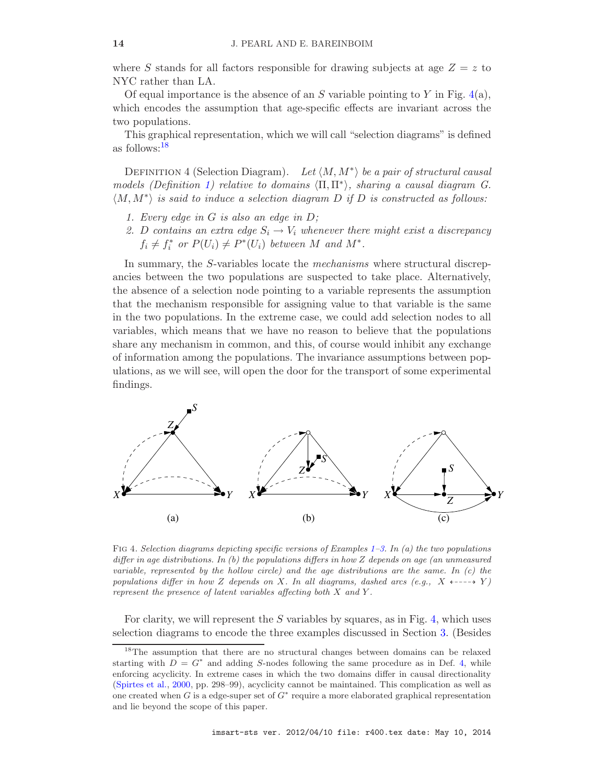where S stands for all factors responsible for drawing subjects at age  $Z = z$  to NYC rather than LA.

Of equal importance is the absence of an S variable pointing to Y in Fig.  $4(a)$  $4(a)$ , which encodes the assumption that age-specific effects are invariant across the two populations.

<span id="page-13-2"></span>This graphical representation, which we will call "selection diagrams" is defined as follows:[18](#page-13-1)

DEFINITION 4 (Selection Diagram). Let  $\langle M, M^* \rangle$  be a pair of structural causal models (Definition [1\)](#page-4-0) relative to domains  $\langle \Pi, \Pi^* \rangle$ , sharing a causal diagram G.  $\langle M, M^* \rangle$  is said to induce a selection diagram D if D is constructed as follows:

- 1. Every edge in G is also an edge in D;
- 2. D contains an extra edge  $S_i \to V_i$  whenever there might exist a discrepancy  $f_i \neq f_i^*$  or  $P(U_i) \neq P^*(U_i)$  between M and  $M^*$ .

In summary, the S-variables locate the *mechanisms* where structural discrepancies between the two populations are suspected to take place. Alternatively, the absence of a selection node pointing to a variable represents the assumption that the mechanism responsible for assigning value to that variable is the same in the two populations. In the extreme case, we could add selection nodes to all variables, which means that we have no reason to believe that the populations share any mechanism in common, and this, of course would inhibit any exchange of information among the populations. The invariance assumptions between populations, as we will see, will open the door for the transport of some experimental findings.



<span id="page-13-0"></span>FIG 4. Selection diagrams depicting specific versions of Examples  $1-3$ . In (a) the two populations differ in age distributions. In  $(b)$  the populations differs in how Z depends on age (an unmeasured variable, represented by the hollow circle) and the age distributions are the same. In  $(c)$  the populations differ in how Z depends on X. In all diagrams, dashed arcs (e.g.,  $X \leftarrow--\rightarrow Y$ ) represent the presence of latent variables affecting both  $X$  and  $Y$ .

For clarity, we will represent the  $S$  variables by squares, as in Fig. [4,](#page-13-0) which uses selection diagrams to encode the three examples discussed in Section [3.](#page-8-0) (Besides

<span id="page-13-1"></span><sup>&</sup>lt;sup>18</sup>The assumption that there are no structural changes between domains can be relaxed starting with  $D = G^*$  and adding S-nodes following the same procedure as in Def. [4,](#page-13-2) while enforcing acyclicity. In extreme cases in which the two domains differ in causal directionality [\(Spirtes et al.,](#page-23-11) [2000](#page-23-11), pp. 298–99), acyclicity cannot be maintained. This complication as well as one created when G is a edge-super set of  $G^*$  require a more elaborated graphical representation and lie beyond the scope of this paper.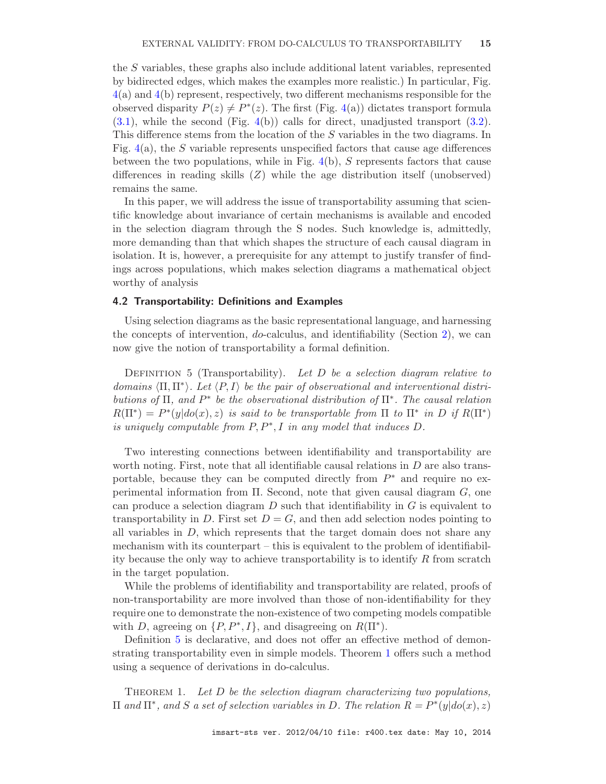the S variables, these graphs also include additional latent variables, represented by bidirected edges, which makes the examples more realistic.) In particular, Fig. [4\(](#page-13-0)a) and [4\(](#page-13-0)b) represent, respectively, two different mechanisms responsible for the observed disparity  $P(z) \neq P^*(z)$ . The first (Fig. [4\(](#page-13-0)a)) dictates transport formula  $(3.1)$ , while the second (Fig. [4\(](#page-13-0)b)) calls for direct, unadjusted transport  $(3.2)$ . This difference stems from the location of the S variables in the two diagrams. In Fig.  $4(a)$  $4(a)$ , the S variable represents unspecified factors that cause age differences between the two populations, while in Fig.  $4(b)$  $4(b)$ , S represents factors that cause differences in reading skills  $(Z)$  while the age distribution itself (unobserved) remains the same.

In this paper, we will address the issue of transportability assuming that scientific knowledge about invariance of certain mechanisms is available and encoded in the selection diagram through the S nodes. Such knowledge is, admittedly, more demanding than that which shapes the structure of each causal diagram in isolation. It is, however, a prerequisite for any attempt to justify transfer of findings across populations, which makes selection diagrams a mathematical object worthy of analysis

#### 4.2 Transportability: Definitions and Examples

<span id="page-14-0"></span>Using selection diagrams as the basic representational language, and harnessing the concepts of intervention,  $do$ -calculus, and identifiability (Section [2\)](#page-2-0), we can now give the notion of transportability a formal definition.

DEFINITION 5 (Transportability). Let D be a selection diagram relative to domains  $\langle \Pi, \Pi^* \rangle$ . Let  $\langle P, I \rangle$  be the pair of observational and interventional distributions of  $\Pi$ , and  $P^*$  be the observational distribution of  $\Pi^*$ . The causal relation  $R(\Pi^*) = P^*(y|do(x), z)$  is said to be transportable from  $\Pi$  to  $\Pi^*$  in D if  $R(\Pi^*)$ is uniquely computable from  $P, P^*, I$  in any model that induces  $D$ .

Two interesting connections between identifiability and transportability are worth noting. First, note that all identifiable causal relations in  $D$  are also transportable, because they can be computed directly from  $P^*$  and require no experimental information from  $\Pi$ . Second, note that given causal diagram  $G$ , one can produce a selection diagram  $D$  such that identifiability in  $G$  is equivalent to transportability in D. First set  $D = G$ , and then add selection nodes pointing to all variables in  $D$ , which represents that the target domain does not share any mechanism with its counterpart – this is equivalent to the problem of identifiability because the only way to achieve transportability is to identify  $R$  from scratch in the target population.

While the problems of identifiability and transportability are related, proofs of non-transportability are more involved than those of non-identifiability for they require one to demonstrate the non-existence of two competing models compatible with D, agreeing on  $\{P, P^*, I\}$ , and disagreeing on  $R(\Pi^*)$ .

Definition [5](#page-14-0) is declarative, and does not offer an effective method of demonstrating transportability even in simple models. Theorem [1](#page-14-1) offers such a method using a sequence of derivations in do-calculus.

<span id="page-14-1"></span>THEOREM 1. Let  $D$  be the selection diagram characterizing two populations,  $\Pi$  and  $\Pi^*$ , and S a set of selection variables in D. The relation  $R = P^*(y|do(x), z)$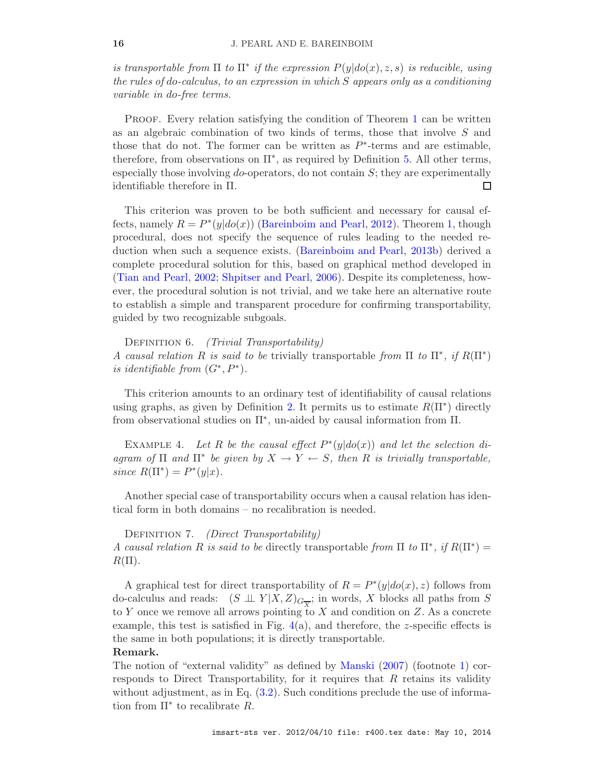is transportable from  $\Pi$  to  $\Pi^*$  if the expression  $P(y|do(x), z, s)$  is reducible, using the rules of do-calculus, to an expression in which S appears only as a conditioning variable in do-free terms.

PROOF. Every relation satisfying the condition of Theorem [1](#page-14-1) can be written as an algebraic combination of two kinds of terms, those that involve S and those that do not. The former can be written as  $P^*$ -terms and are estimable, therefore, from observations on  $\Pi^*$ , as required by Definition [5.](#page-14-0) All other terms, especially those involving do-operators, do not contain  $S$ ; they are experimentally identifiable therefore in Π.  $\Box$ 

This criterion was proven to be both sufficient and necessary for causal effects, namely  $R = P^*(y|do(x))$  [\(Bareinboim and Pearl](#page-21-3), [2012](#page-21-3)). Theorem [1,](#page-14-1) though procedural, does not specify the sequence of rules leading to the needed reduction when such a sequence exists. [\(Bareinboim and Pearl,](#page-21-4) [2013b](#page-21-4)) derived a complete procedural solution for this, based on graphical method developed in [\(Tian and Pearl](#page-23-24), [2002](#page-23-24); [Shpitser and Pearl,](#page-23-10) [2006](#page-23-10)). Despite its completeness, however, the procedural solution is not trivial, and we take here an alternative route to establish a simple and transparent procedure for confirming transportability, guided by two recognizable subgoals.

DEFINITION 6. *(Trivial Transportability)* 

A causal relation R is said to be trivially transportable from  $\Pi$  to  $\Pi^*$ , if  $R(\Pi^*)$ is identifiable from  $(G^*, P^*)$ .

This criterion amounts to an ordinary test of identifiability of causal relations using graphs, as given by Definition [2.](#page-6-1) It permits us to estimate  $R(\Pi^*)$  directly from observational studies on  $\Pi^*$ , un-aided by causal information from  $\Pi$ .

EXAMPLE 4. Let R be the causal effect  $P^*(y|do(x))$  and let the selection diagram of  $\Pi$  and  $\Pi^*$  be given by  $X \to Y \leftarrow S$ , then R is trivially transportable, since  $R(\Pi^*) = P^*(y|x)$ .

Another special case of transportability occurs when a causal relation has identical form in both domains – no recalibration is needed.

#### DEFINITION 7. (Direct Transportability)

A causal relation R is said to be directly transportable from  $\Pi$  to  $\Pi^*$ , if  $R(\Pi^*)$  =  $R(\Pi)$ .

A graphical test for direct transportability of  $R = P^*(y|do(x), z)$  follows from do-calculus and reads:  $(S \perp \!\!\!\perp Y | X, Z)_{G_{\overline{X}}};$  in words, X blocks all paths from S to Y once we remove all arrows pointing to X and condition on  $Z$ . As a concrete example, this test is satisfied in Fig.  $4(a)$  $4(a)$ , and therefore, the z-specific effects is the same in both populations; it is directly transportable.

#### Remark.

The notion of "external validity" as defined by [Manski](#page-22-4) [\(2007](#page-22-4)) (footnote [1\)](#page-1-0) corresponds to Direct Transportability, for it requires that  $R$  retains its validity without adjustment, as in Eq.  $(3.2)$ . Such conditions preclude the use of information from  $\Pi^*$  to recalibrate R.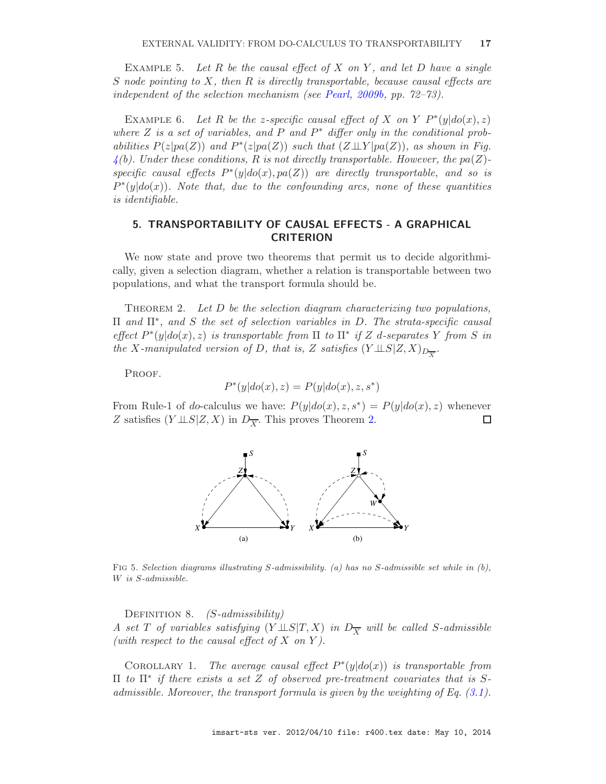EXAMPLE 5. Let R be the causal effect of X on Y, and let D have a single S node pointing to  $X$ , then  $R$  is directly transportable, because causal effects are independent of the selection mechanism (see [Pearl](#page-23-19), [2009b](#page-23-19), pp. 72–73).

EXAMPLE 6. Let R be the z-specific causal effect of X on Y  $P^*(y|do(x), z)$ where Z is a set of variables, and P and  $P^*$  differ only in the conditional probabilities  $P(z|pa(Z))$  and  $P^*(z|pa(Z))$  such that  $(Z \perp \!\!\! \perp Y | pa(Z))$ , as shown in Fig.  $\mathcal{A}(b)$ . Under these conditions, R is not directly transportable. However, the pa(Z)specific causal effects  $P^*(y|do(x), pa(Z))$  are directly transportable, and so is  $P^*(y|do(x))$ . Note that, due to the confounding arcs, none of these quantities is identifiable.

# 5. TRANSPORTABILITY OF CAUSAL EFFECTS - A GRAPHICAL **CRITERION**

<span id="page-16-0"></span>We now state and prove two theorems that permit us to decide algorithmically, given a selection diagram, whether a relation is transportable between two populations, and what the transport formula should be.

<span id="page-16-1"></span>THEOREM 2. Let  $D$  be the selection diagram characterizing two populations, Π and Π∗, and S the set of selection variables in D. The strata-specific causal effect  $P^*(y|do(x), z)$  is transportable from  $\Pi$  to  $\Pi^*$  if Z d-separates Y from S in the X-manipulated version of D, that is, Z satisfies  $(Y \perp \!\!\! \perp S | Z, X)_{D_{\overline{z}}}.$ 

PROOF.

$$
P^*(y|do(x), z) = P(y|do(x), z, s^*)
$$

From Rule-1 of do-calculus we have:  $P(y|do(x), z, s^*) = P(y|do(x), z)$  whenever Z satisfies  $(Y \perp \!\!\! \perp S | Z, X)$  in  $D_{\overline{X}}$ . This proves Theorem [2.](#page-16-1)  $\Box$ 



<span id="page-16-2"></span>FIG 5. Selection diagrams illustrating S-admissibility. (a) has no S-admissible set while in  $(b)$ , W is S-admissible.

DEFINITION 8.  $(S-admissible)$ A set T of variables satisfying  $(Y \perp \!\!\! \perp S | T, X)$  in  $D_{\overline{X}}$  will be called S-admissible (with respect to the causal effect of  $X$  on  $Y$ ).

COROLLARY 1. The average causal effect  $P^*(y|do(x))$  is transportable from Π to Π<sup>∗</sup> if there exists a set Z of observed pre-treatment covariates that is Sadmissible. Moreover, the transport formula is given by the weighting of Eq.  $(3.1)$ .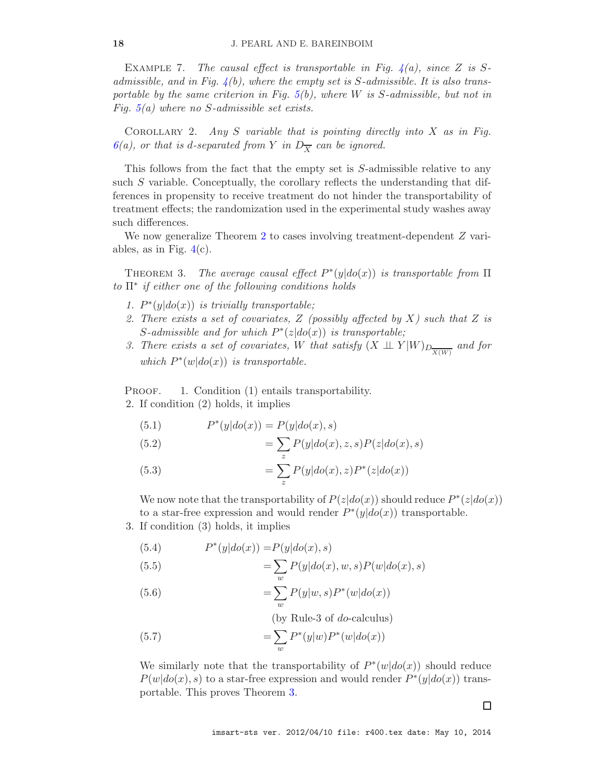EXAMPLE 7. The causal effect is transportable in Fig.  $\mathcal{A}(a)$ , since Z is Sadmissible, and in Fig.  $4(b)$  $4(b)$ , where the empty set is S-admissible. It is also transportable by the same criterion in Fig.  $5(b)$  $5(b)$ , where W is S-admissible, but not in Fig.  $5(a)$  $5(a)$  where no S-admissible set exists.

<span id="page-17-1"></span>COROLLARY 2. Any  $S$  variable that is pointing directly into  $X$  as in Fig.  $6(a)$  $6(a)$ , or that is d-separated from Y in  $D_{\overline{X}}$  can be ignored.

This follows from the fact that the empty set is S-admissible relative to any such S variable. Conceptually, the corollary reflects the understanding that differences in propensity to receive treatment do not hinder the transportability of treatment effects; the randomization used in the experimental study washes away such differences.

We now generalize Theorem [2](#page-16-1) to cases involving treatment-dependent Z variables, as in Fig.  $4(c)$  $4(c)$ .

THEOREM 3. The average causal effect  $P^*(y|do(x))$  is transportable from  $\Pi$ to  $\Pi^*$  if either one of the following conditions holds

- 1.  $P^*(y|do(x))$  is trivially transportable;
- 2. There exists a set of covariates, Z (possibly affected by X) such that Z is S-admissible and for which  $P^*(z|do(x))$  is transportable;
- <span id="page-17-0"></span>3. There exists a set of covariates, W that satisfy  $(X \perp\!\!\!\perp Y | W)_{D_{\overline{Y(W)}}}$  and for which  $P^*(w|do(x))$  is transportable.

PROOF. 1. Condition (1) entails transportability. 2. If condition (2) holds, it implies

(5.1) 
$$
P^*(y|do(x)) = P(y|do(x), s)
$$

(5.2) 
$$
= \sum_{z} P(y|do(x), z, s) P(z|do(x), s)
$$

(5.3) 
$$
= \sum_{z} P(y|do(x), z)P^*(z|do(x))
$$

We now note that the transportability of  $P(z|do(x))$  should reduce  $P^*(z|do(x))$ to a star-free expression and would render  $P^*(y|do(x))$  transportable.

3. If condition 
$$
(3)
$$
 holds, it implies

(5.4) 
$$
P^*(y|do(x)) = P(y|do(x), s)
$$

$$
= \sum P(y|do(x), w, s)P(w|do(x), s)
$$

(5.6) 
$$
= \sum_{w}^{w} P(y|w,s)P^*(w|do(x))
$$

(by Rule-3 of do-calculus)

(5.7) 
$$
= \sum_{w} P^*(y|w)P^*(w|do(x))
$$

We similarly note that the transportability of  $P^*(w|do(x))$  should reduce  $P(w|do(x), s)$  to a star-free expression and would render  $P^*(y|do(x))$  transportable. This proves Theorem [3.](#page-17-0)

□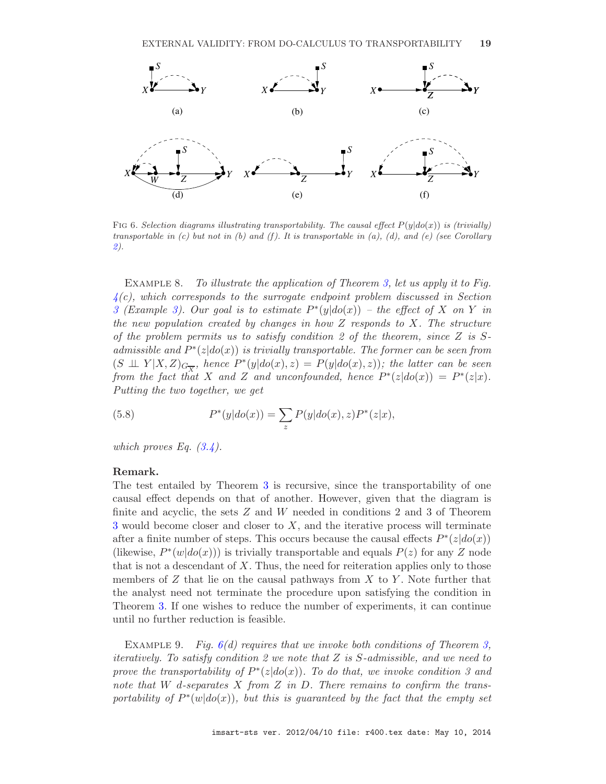

<span id="page-18-0"></span>FIG 6. Selection diagrams illustrating transportability. The causal effect  $P(y|do(x))$  is (trivially) transportable in  $(c)$  but not in  $(b)$  and  $(f)$ . It is transportable in  $(a)$ ,  $(d)$ , and  $(e)$  (see Corollary [2\)](#page-17-1).

EXAMPLE 8. To illustrate the application of Theorem [3,](#page-17-0) let us apply it to Fig.  $\mathcal{A}(c)$ , which corresponds to the surrogate endpoint problem discussed in Section [3](#page-8-0) (Example [3\)](#page-10-0). Our goal is to estimate  $P^*(y|do(x))$  – the effect of X on Y in the new population created by changes in how  $Z$  responds to  $X$ . The structure of the problem permits us to satisfy condition 2 of the theorem, since  $Z$  is  $S$ admissible and  $P^*(z|do(x))$  is trivially transportable. The former can be seen from  $(S \perp \perp Y | X, Z)_{G_{\overline{X}}}$ , hence  $P^*(y|do(x), z) = P(y|do(x), z)$ ; the latter can be seen from the fact that X and Z and unconfounded, hence  $P^*(z|do(x)) = P^*(z|x)$ . Putting the two together, we get

(5.8) 
$$
P^*(y|do(x)) = \sum_{z} P(y|do(x), z)P^*(z|x),
$$

which proves Eq.  $(3.4)$ .

#### Remark.

The test entailed by Theorem [3](#page-17-0) is recursive, since the transportability of one causal effect depends on that of another. However, given that the diagram is finite and acyclic, the sets  $Z$  and  $W$  needed in conditions 2 and 3 of Theorem  $3$  would become closer and closer to  $X$ , and the iterative process will terminate after a finite number of steps. This occurs because the causal effects  $P^*(z|do(x))$ (likewise,  $P^*(w|do(x))$ ) is trivially transportable and equals  $P(z)$  for any Z node that is not a descendant of  $X$ . Thus, the need for reiteration applies only to those members of  $Z$  that lie on the causal pathways from  $X$  to  $Y$ . Note further that the analyst need not terminate the procedure upon satisfying the condition in Theorem [3.](#page-17-0) If one wishes to reduce the number of experiments, it can continue until no further reduction is feasible.

EXAMPLE 9. Fig.  $6(d)$  $6(d)$  requires that we invoke both conditions of Theorem [3,](#page-17-0) iteratively. To satisfy condition 2 we note that  $Z$  is  $S$ -admissible, and we need to prove the transportability of  $P^*(z|do(x))$ . To do that, we invoke condition 3 and note that  $W$  d-separates  $X$  from  $Z$  in  $D$ . There remains to confirm the transportability of  $P^*(w|do(x))$ , but this is quaranteed by the fact that the empty set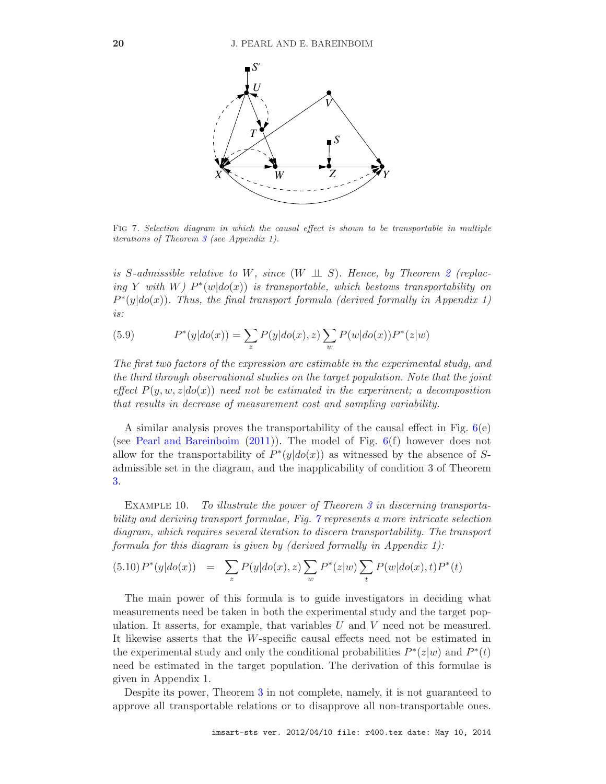

<span id="page-19-0"></span>FIG 7. Selection diagram in which the causal effect is shown to be transportable in multiple iterations of Theorem [3](#page-17-0) (see Appendix 1).

is S-admissible relative to W, since  $(W \perp\!\!\!\perp S)$ . Hence, by Theorem [2](#page-16-1) (replacing Y with W)  $P^*(w|do(x))$  is transportable, which bestows transportability on  $P^*(y|do(x))$ . Thus, the final transport formula (derived formally in Appendix 1) is:

<span id="page-19-2"></span>(5.9) 
$$
P^*(y|do(x)) = \sum_{z} P(y|do(x), z) \sum_{w} P(w|do(x))P^*(z|w)
$$

The first two factors of the expression are estimable in the experimental study, and the third through observational studies on the target population. Note that the joint effect  $P(y, w, z|do(x))$  need not be estimated in the experiment; a decomposition that results in decrease of measurement cost and sampling variability.

A similar analysis proves the transportability of the causal effect in Fig.  $6(e)$  $6(e)$ (see [Pearl and Bareinboim](#page-23-25) [\(2011](#page-23-25))). The model of Fig. [6\(](#page-18-0)f) however does not allow for the transportability of  $P^*(y|do(x))$  as witnessed by the absence of Sadmissible set in the diagram, and the inapplicability of condition 3 of Theorem [3.](#page-17-0)

<span id="page-19-1"></span>EXAMPLE 10. To illustrate the power of Theorem  $\beta$  in discerning transportability and deriving transport formulae, Fig. [7](#page-19-0) represents a more intricate selection diagram, which requires several iteration to discern transportability. The transport formula for this diagram is given by (derived formally in Appendix 1):

<span id="page-19-3"></span>
$$
(5.10) P^*(y | do(x)) = \sum_{z} P(y | do(x), z) \sum_{w} P^*(z | w) \sum_{t} P(w | do(x), t) P^*(t)
$$

The main power of this formula is to guide investigators in deciding what measurements need be taken in both the experimental study and the target population. It asserts, for example, that variables  $U$  and  $V$  need not be measured. It likewise asserts that the W-specific causal effects need not be estimated in the experimental study and only the conditional probabilities  $P^*(z|w)$  and  $P^*(t)$ need be estimated in the target population. The derivation of this formulae is given in Appendix 1.

Despite its power, Theorem [3](#page-17-0) in not complete, namely, it is not guaranteed to approve all transportable relations or to disapprove all non-transportable ones.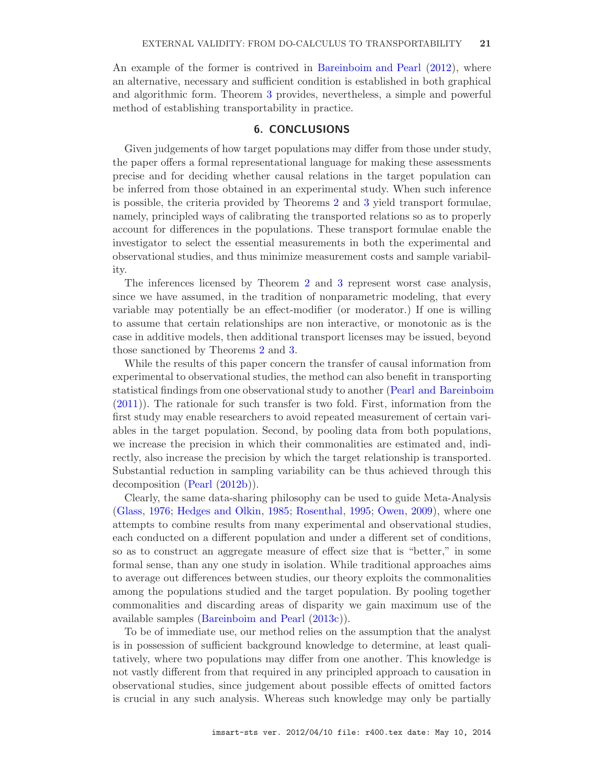An example of the former is contrived in [Bareinboim and Pearl](#page-21-3) [\(2012](#page-21-3)), where an alternative, necessary and sufficient condition is established in both graphical and algorithmic form. Theorem [3](#page-17-0) provides, nevertheless, a simple and powerful method of establishing transportability in practice.

# 6. CONCLUSIONS

<span id="page-20-0"></span>Given judgements of how target populations may differ from those under study, the paper offers a formal representational language for making these assessments precise and for deciding whether causal relations in the target population can be inferred from those obtained in an experimental study. When such inference is possible, the criteria provided by Theorems [2](#page-16-1) and [3](#page-17-0) yield transport formulae, namely, principled ways of calibrating the transported relations so as to properly account for differences in the populations. These transport formulae enable the investigator to select the essential measurements in both the experimental and observational studies, and thus minimize measurement costs and sample variability.

The inferences licensed by Theorem [2](#page-16-1) and [3](#page-17-0) represent worst case analysis, since we have assumed, in the tradition of nonparametric modeling, that every variable may potentially be an effect-modifier (or moderator.) If one is willing to assume that certain relationships are non interactive, or monotonic as is the case in additive models, then additional transport licenses may be issued, beyond those sanctioned by Theorems [2](#page-16-1) and [3.](#page-17-0)

While the results of this paper concern the transfer of causal information from experimental to observational studies, the method can also benefit in transporting statistical findings from one observational study to another [\(Pearl and Bareinboim](#page-23-25) [\(2011\)](#page-23-25)). The rationale for such transfer is two fold. First, information from the first study may enable researchers to avoid repeated measurement of certain variables in the target population. Second, by pooling data from both populations, we increase the precision in which their commonalities are estimated and, indirectly, also increase the precision by which the target relationship is transported. Substantial reduction in sampling variability can be thus achieved through this decomposition [\(Pearl](#page-23-26) [\(2012b](#page-23-26))).

Clearly, the same data-sharing philosophy can be used to guide Meta-Analysis [\(Glass,](#page-22-0) [1976](#page-22-0); [Hedges and Olkin](#page-22-1), [1985](#page-22-1); [Rosenthal](#page-23-27), [1995](#page-23-27); [Owen,](#page-23-0) [2009](#page-23-0)), where one attempts to combine results from many experimental and observational studies, each conducted on a different population and under a different set of conditions, so as to construct an aggregate measure of effect size that is "better," in some formal sense, than any one study in isolation. While traditional approaches aims to average out differences between studies, our theory exploits the commonalities among the populations studied and the target population. By pooling together commonalities and discarding areas of disparity we gain maximum use of the available samples [\(Bareinboim and Pearl](#page-22-26) [\(2013c](#page-22-26))).

To be of immediate use, our method relies on the assumption that the analyst is in possession of sufficient background knowledge to determine, at least qualitatively, where two populations may differ from one another. This knowledge is not vastly different from that required in any principled approach to causation in observational studies, since judgement about possible effects of omitted factors is crucial in any such analysis. Whereas such knowledge may only be partially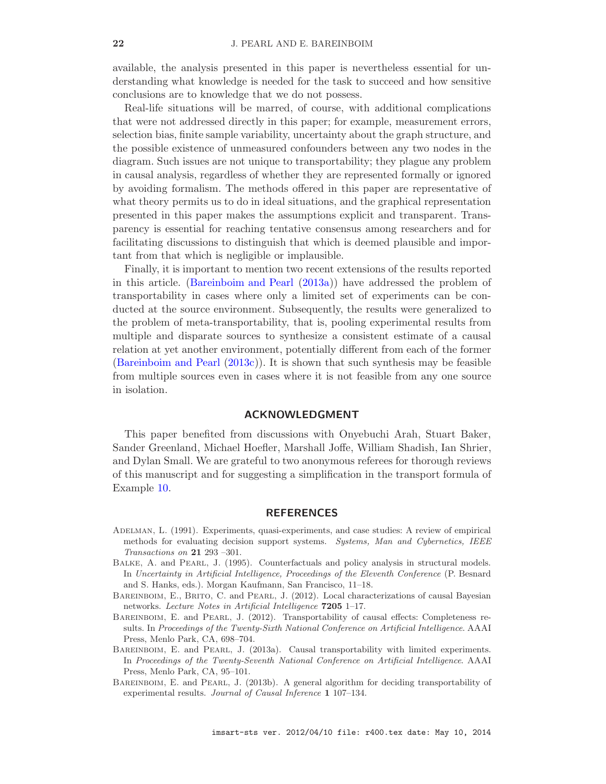available, the analysis presented in this paper is nevertheless essential for understanding what knowledge is needed for the task to succeed and how sensitive conclusions are to knowledge that we do not possess.

Real-life situations will be marred, of course, with additional complications that were not addressed directly in this paper; for example, measurement errors, selection bias, finite sample variability, uncertainty about the graph structure, and the possible existence of unmeasured confounders between any two nodes in the diagram. Such issues are not unique to transportability; they plague any problem in causal analysis, regardless of whether they are represented formally or ignored by avoiding formalism. The methods offered in this paper are representative of what theory permits us to do in ideal situations, and the graphical representation presented in this paper makes the assumptions explicit and transparent. Transparency is essential for reaching tentative consensus among researchers and for facilitating discussions to distinguish that which is deemed plausible and important from that which is negligible or implausible.

Finally, it is important to mention two recent extensions of the results reported in this article. [\(Bareinboim and Pearl](#page-21-5) [\(2013a](#page-21-5))) have addressed the problem of transportability in cases where only a limited set of experiments can be conducted at the source environment. Subsequently, the results were generalized to the problem of meta-transportability, that is, pooling experimental results from multiple and disparate sources to synthesize a consistent estimate of a causal relation at yet another environment, potentially different from each of the former [\(Bareinboim and Pearl](#page-22-26) [\(2013c](#page-22-26))). It is shown that such synthesis may be feasible from multiple sources even in cases where it is not feasible from any one source in isolation.

## ACKNOWLEDGMENT

This paper benefited from discussions with Onyebuchi Arah, Stuart Baker, Sander Greenland, Michael Hoefler, Marshall Joffe, William Shadish, Ian Shrier, and Dylan Small. We are grateful to two anonymous referees for thorough reviews of this manuscript and for suggesting a simplification in the transport formula of Example [10.](#page-19-1)

## REFERENCES

- <span id="page-21-0"></span>Adelman, L. (1991). Experiments, quasi-experiments, and case studies: A review of empirical methods for evaluating decision support systems. Systems, Man and Cybernetics, IEEE Transactions on 21 293 –301.
- <span id="page-21-1"></span>BALKE, A. and PEARL, J. (1995). Counterfactuals and policy analysis in structural models. In Uncertainty in Artificial Intelligence, Proceedings of the Eleventh Conference (P. Besnard and S. Hanks, eds.). Morgan Kaufmann, San Francisco, 11–18.
- <span id="page-21-2"></span>BAREINBOIM, E., BRITO, C. and PEARL, J. (2012). Local characterizations of causal Bayesian networks. Lecture Notes in Artificial Intelligence 7205 1–17.
- <span id="page-21-3"></span>BAREINBOIM, E. and PEARL, J. (2012). Transportability of causal effects: Completeness results. In Proceedings of the Twenty-Sixth National Conference on Artificial Intelligence. AAAI Press, Menlo Park, CA, 698–704.
- <span id="page-21-5"></span>BAREINBOIM, E. and PEARL, J. (2013a). Causal transportability with limited experiments. In Proceedings of the Twenty-Seventh National Conference on Artificial Intelligence. AAAI Press, Menlo Park, CA, 95–101.
- <span id="page-21-4"></span>BAREINBOIM, E. and PEARL, J. (2013b). A general algorithm for deciding transportability of experimental results. Journal of Causal Inference 1 107-134.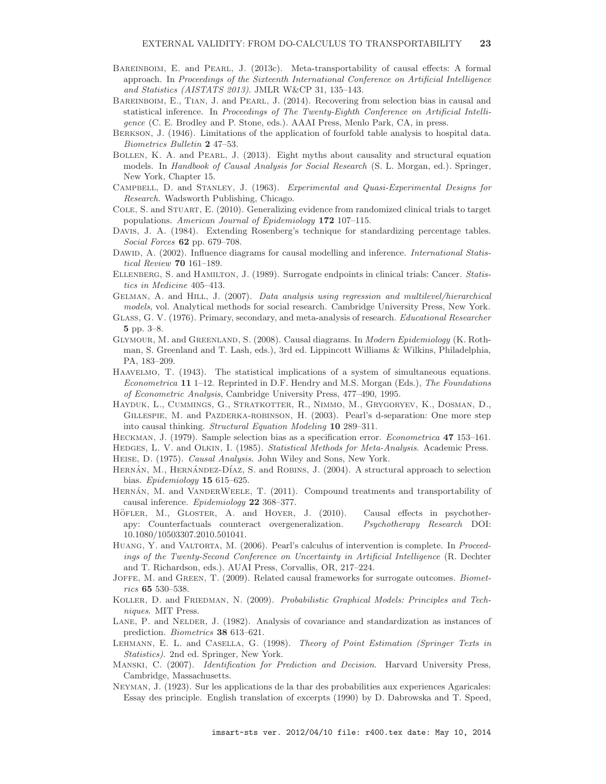- <span id="page-22-26"></span>BAREINBOIM, E. and PEARL, J. (2013c). Meta-transportability of causal effects: A formal approach. In Proceedings of the Sixteenth International Conference on Artificial Intelligence and Statistics (AISTATS 2013). JMLR W&CP 31, 135–143.
- <span id="page-22-25"></span>BAREINBOIM, E., TIAN, J. and PEARL, J. (2014). Recovering from selection bias in causal and statistical inference. In Proceedings of The Twenty-Eighth Conference on Artificial Intelligence (C. E. Brodley and P. Stone, eds.). AAAI Press, Menlo Park, CA, in press.
- <span id="page-22-18"></span>Berkson, J. (1946). Limitations of the application of fourfold table analysis to hospital data. Biometrics Bulletin 2 47–53.
- <span id="page-22-14"></span>BOLLEN, K. A. and PEARL, J. (2013). Eight myths about causality and structural equation models. In Handbook of Causal Analysis for Social Research (S. L. Morgan, ed.). Springer, New York, Chapter 15.
- <span id="page-22-3"></span>Campbell, D. and Stanley, J. (1963). Experimental and Quasi-Experimental Designs for Research. Wadsworth Publishing, Chicago.
- <span id="page-22-24"></span>Cole, S. and Stuart, E. (2010). Generalizing evidence from randomized clinical trials to target populations. American Journal of Epidemiology 172 107–115.
- <span id="page-22-7"></span>Davis, J. A. (1984). Extending Rosenberg's technique for standardizing percentage tables. Social Forces **62** pp. 679–708.
- <span id="page-22-13"></span>DAWID, A. (2002). Influence diagrams for causal modelling and inference. *International Statis*tical Review 70 161–189.
- <span id="page-22-20"></span>ELLENBERG, S. and HAMILTON, J. (1989). Surrogate endpoints in clinical trials: Cancer. Statistics in Medicine 405–413.
- <span id="page-22-2"></span>GELMAN, A. and HILL, J. (2007). Data analysis using regression and multilevel/hierarchical models, vol. Analytical methods for social research. Cambridge University Press, New York.
- <span id="page-22-0"></span>GLASS, G. V. (1976). Primary, secondary, and meta-analysis of research. *Educational Researcher* 5 pp. 3–8.
- <span id="page-22-17"></span>GLYMOUR, M. and GREENLAND, S. (2008). Causal diagrams. In *Modern Epidemiology* (K. Rothman, S. Greenland and T. Lash, eds.), 3rd ed. Lippincott Williams & Wilkins, Philadelphia, PA, 183–209.
- <span id="page-22-8"></span>HAAVELMO, T. (1943). The statistical implications of a system of simultaneous equations. Econometrica 11 1–12. Reprinted in D.F. Hendry and M.S. Morgan (Eds.), The Foundations of Econometric Analysis, Cambridge University Press, 477–490, 1995.
- <span id="page-22-16"></span>Hayduk, L., Cummings, G., Stratkotter, R., Nimmo, M., Grygoryev, K., Dosman, D., Gillespie, M. and Pazderka-robinson, H. (2003). Pearl's d-separation: One more step into causal thinking. Structural Equation Modeling 10 289–311.
- <span id="page-22-22"></span>Heckman, J. (1979). Sample selection bias as a specification error. Econometrica 47 153–161.
- <span id="page-22-6"></span><span id="page-22-1"></span>Hedges, L. V. and Olkin, I. (1985). Statistical Methods for Meta-Analysis. Academic Press. Heise, D. (1975). Causal Analysis. John Wiley and Sons, New York.
- <span id="page-22-23"></span>HERNÁN, M., HERNÁNDEZ-DÍAZ, S. and ROBINS, J.  $(2004)$ . A structural approach to selection bias. Epidemiology 15 615–625.
- <span id="page-22-10"></span>HERNÁN, M. and VANDERWEELE, T.  $(2011)$ . Compound treatments and transportability of causal inference. Epidemiology 22 368–377.
- <span id="page-22-5"></span>HÖFLER, M., GLOSTER, A. and HOYER, J. (2010). Causal effects in psychotherapy: Counterfactuals counteract overgeneralization. Psychotherapy Research DOI: 10.1080/10503307.2010.501041.
- <span id="page-22-12"></span>HUANG, Y. and VALTORTA, M. (2006). Pearl's calculus of intervention is complete. In Proceedings of the Twenty-Second Conference on Uncertainty in Artificial Intelligence (R. Dechter and T. Richardson, eds.). AUAI Press, Corvallis, OR, 217–224.
- <span id="page-22-21"></span>JOFFE, M. and GREEN, T. (2009). Related causal frameworks for surrogate outcomes. Biometrics 65 530–538.
- <span id="page-22-11"></span>KOLLER, D. and FRIEDMAN, N. (2009). Probabilistic Graphical Models: Principles and Techniques. MIT Press.
- <span id="page-22-19"></span>LANE, P. and NELDER, J. (1982). Analysis of covariance and standardization as instances of prediction. Biometrics 38 613–621.
- <span id="page-22-15"></span>LEHMANN, E. L. and CASELLA, G. (1998). Theory of Point Estimation (Springer Texts in Statistics). 2nd ed. Springer, New York.
- <span id="page-22-4"></span>MANSKI, C. (2007). *Identification for Prediction and Decision*. Harvard University Press, Cambridge, Massachusetts.
- <span id="page-22-9"></span>Neyman, J. (1923). Sur les applications de la thar des probabilities aux experiences Agaricales: Essay des principle. English translation of excerpts (1990) by D. Dabrowska and T. Speed,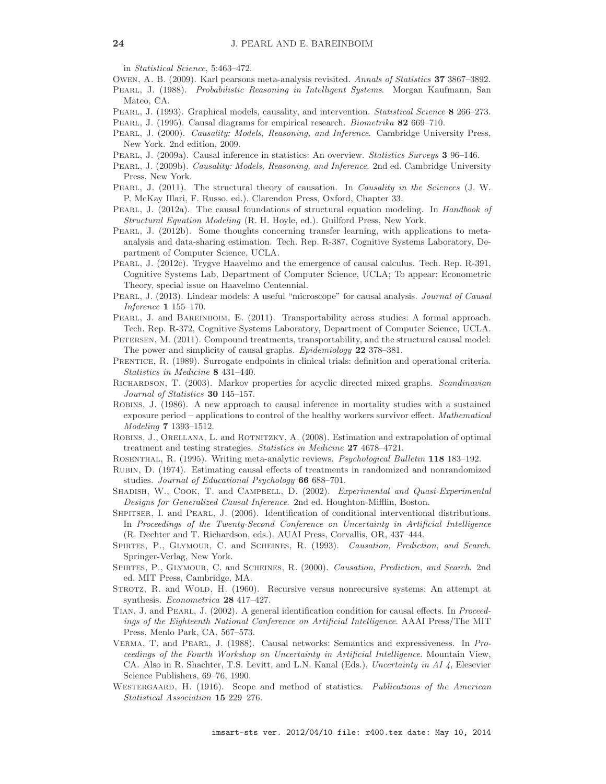in Statistical Science, 5:463–472.

- <span id="page-23-18"></span><span id="page-23-0"></span>Owen, A. B. (2009). Karl pearsons meta-analysis revisited. Annals of Statistics 37 3867–3892. PEARL, J. (1988). Probabilistic Reasoning in Intelligent Systems. Morgan Kaufmann, San
- Mateo, CA.
- <span id="page-23-23"></span><span id="page-23-4"></span>PEARL, J. (1993). Graphical models, causality, and intervention. *Statistical Science* 8 266–273.
- PEARL, J. (1995). Causal diagrams for empirical research. *Biometrika* 82 669–710.
- <span id="page-23-12"></span>PEARL, J. (2000). Causality: Models, Reasoning, and Inference. Cambridge University Press, New York. 2nd edition, 2009.
- <span id="page-23-14"></span>PEARL, J. (2009a). Causal inference in statistics: An overview. Statistics Surveys 3 96-146.
- <span id="page-23-19"></span>PEARL, J. (2009b). *Causality: Models, Reasoning, and Inference.* 2nd ed. Cambridge University Press, New York.
- <span id="page-23-13"></span>PEARL, J. (2011). The structural theory of causation. In *Causality in the Sciences* (J. W. P. McKay Illari, F. Russo, ed.). Clarendon Press, Oxford, Chapter 33.
- <span id="page-23-15"></span>PEARL, J. (2012a). The causal foundations of structural equation modeling. In Handbook of Structural Equation Modeling (R. H. Hoyle, ed.). Guilford Press, New York.
- <span id="page-23-26"></span>PEARL, J. (2012b). Some thoughts concerning transfer learning, with applications to metaanalysis and data-sharing estimation. Tech. Rep. R-387, Cognitive Systems Laboratory, Department of Computer Science, UCLA.
- <span id="page-23-17"></span>Pearl, J. (2012c). Trygve Haavelmo and the emergence of causal calculus. Tech. Rep. R-391, Cognitive Systems Lab, Department of Computer Science, UCLA; To appear: Econometric Theory, special issue on Haavelmo Centennial.
- <span id="page-23-22"></span>PEARL, J. (2013). Lindear models: A useful "microscope" for causal analysis. Journal of Causal Inference 1 155–170.
- <span id="page-23-25"></span>PEARL, J. and BAREINBOIM, E. (2011). Transportability across studies: A formal approach. Tech. Rep. R-372, Cognitive Systems Laboratory, Department of Computer Science, UCLA.
- <span id="page-23-8"></span>PETERSEN, M. (2011). Compound treatments, transportability, and the structural causal model: The power and simplicity of causal graphs. *Epidemiology* 22 378–381.
- <span id="page-23-21"></span>PRENTICE, R. (1989). Surrogate endpoints in clinical trials: definition and operational criteria. Statistics in Medicine 8 431–440.
- <span id="page-23-16"></span>RICHARDSON, T. (2003). Markov properties for acyclic directed mixed graphs. Scandinavian Journal of Statistics 30 145–157.
- <span id="page-23-7"></span>Robins, J. (1986). A new approach to causal inference in mortality studies with a sustained exposure period – applications to control of the healthy workers survivor effect. Mathematical Modeling 7 1393–1512.
- <span id="page-23-9"></span>ROBINS, J., ORELLANA, L. and ROTNITZKY, A. (2008). Estimation and extrapolation of optimal treatment and testing strategies. Statistics in Medicine 27 4678–4721.
- <span id="page-23-27"></span>ROSENTHAL, R. (1995). Writing meta-analytic reviews. *Psychological Bulletin* 118 183–192.
- <span id="page-23-6"></span>Rubin, D. (1974). Estimating causal effects of treatments in randomized and nonrandomized studies. Journal of Educational Psychology 66 688–701.
- <span id="page-23-1"></span>SHADISH, W., COOK, T. and CAMPBELL, D. (2002). Experimental and Quasi-Experimental Designs for Generalized Causal Inference. 2nd ed. Houghton-Mifflin, Boston.
- <span id="page-23-10"></span>SHPITSER, I. and PEARL, J. (2006). Identification of conditional interventional distributions. In Proceedings of the Twenty-Second Conference on Uncertainty in Artificial Intelligence (R. Dechter and T. Richardson, eds.). AUAI Press, Corvallis, OR, 437–444.
- <span id="page-23-3"></span>Spirtes, P., Glymour, C. and Scheines, R. (1993). Causation, Prediction, and Search. Springer-Verlag, New York.
- <span id="page-23-11"></span>Spirtes, P., Glymour, C. and Scheines, R. (2000). Causation, Prediction, and Search. 2nd ed. MIT Press, Cambridge, MA.
- <span id="page-23-5"></span>STROTZ, R. and WOLD, H. (1960). Recursive versus nonrecursive systems: An attempt at synthesis. Econometrica 28 417-427.
- <span id="page-23-24"></span>TIAN, J. and PEARL, J. (2002). A general identification condition for causal effects. In Proceedings of the Eighteenth National Conference on Artificial Intelligence. AAAI Press/The MIT Press, Menlo Park, CA, 567–573.
- <span id="page-23-2"></span>Verma, T. and Pearl, J. (1988). Causal networks: Semantics and expressiveness. In Proceedings of the Fourth Workshop on Uncertainty in Artificial Intelligence. Mountain View, CA. Also in R. Shachter, T.S. Levitt, and L.N. Kanal (Eds.), Uncertainty in AI 4, Elesevier Science Publishers, 69–76, 1990.
- <span id="page-23-20"></span>WESTERGAARD, H. (1916). Scope and method of statistics. Publications of the American Statistical Association 15 229–276.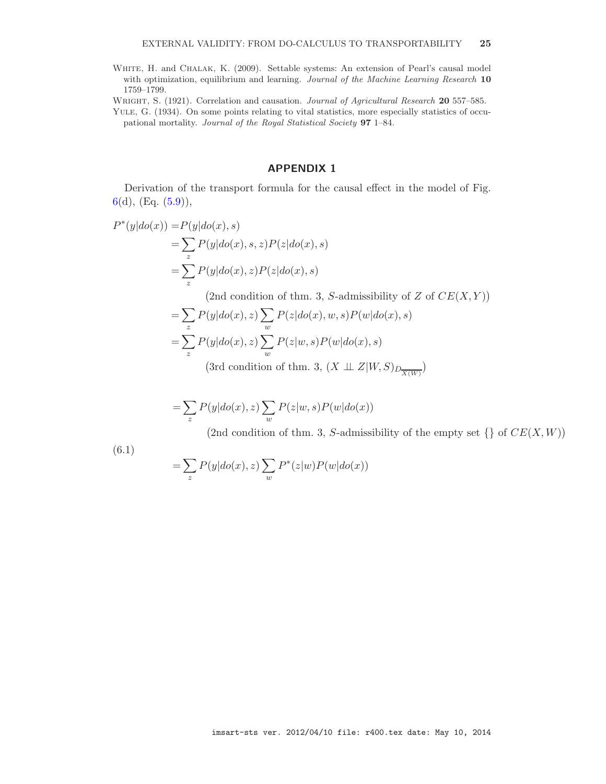- <span id="page-24-1"></span>WHITE, H. and CHALAK, K. (2009). Settable systems: An extension of Pearl's causal model with optimization, equilibrium and learning. Journal of the Machine Learning Research 10 1759–1799.
- <span id="page-24-2"></span><span id="page-24-0"></span>WRIGHT, S. (1921). Correlation and causation. Journal of Agricultural Research 20 557–585. Yule, G. (1934). On some points relating to vital statistics, more especially statistics of occu-
- pational mortality. Journal of the Royal Statistical Society 97 1–84.

## APPENDIX 1

Derivation of the transport formula for the causal effect in the model of Fig.  $6(d)$  $6(d)$ ,  $(Eq. (5.9))$  $(Eq. (5.9))$  $(Eq. (5.9))$ ,

$$
P^*(y|do(x)) = P(y|do(x), s)
$$
  
=  $\sum_{z} P(y|do(x), s, z)P(z|do(x), s)$   
=  $\sum_{z} P(y|do(x), z)P(z|do(x), s)$   
(2nd condition of thm. 3, S-admissibility of Z of  $CE(X, Y)$ )

$$
= \sum_{z} P(y|do(x), z) \sum_{w} P(z|do(x), w, s) P(w|do(x), s)
$$

$$
= \sum_{z} P(y|do(x), z) \sum_{w} P(z|w, s) P(w|do(x), s)
$$
(3rd condition of thm. 3, (X  $\perp \perp Z|W, S)_{D_{\overline{X(W)}}}$ )

$$
= \sum_{z} P(y|do(x), z) \sum_{w} P(z|w, s) P(w|do(x))
$$

(2nd condition of thm. 3, S-admissibility of the empty set  $\{\}\$  of  $CE(X, W)$ )

$$
(6.1)
$$

$$
= \sum_{z} P(y|do(x), z) \sum_{w} P^{*}(z|w) P(w|do(x))
$$